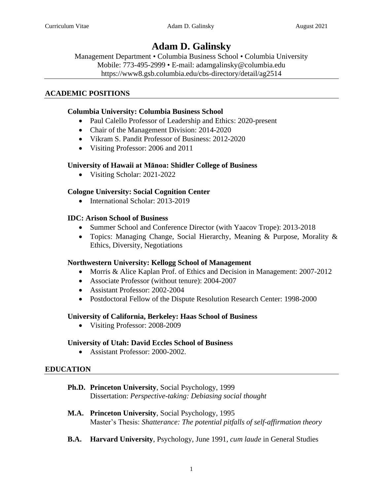# **Adam D. Galinsky**

Management Department • Columbia Business School • Columbia University Mobile: 773-495-2999 • E-mail: adamgalinsky@columbia.edu <https://www8.gsb.columbia.edu/cbs-directory/detail/ag2514>

# **ACADEMIC POSITIONS**

# **Columbia University: Columbia Business School**

- Paul Calello Professor of Leadership and Ethics: 2020-present
- Chair of the Management Division: 2014-2020
- Vikram S. Pandit Professor of Business: 2012-2020
- Visiting Professor: 2006 and 2011

# **University of Hawaii at Mānoa: Shidler College of Business**

• Visiting Scholar: 2021-2022

# **Cologne University: Social Cognition Center**

• International Scholar: 2013-2019

# **IDC: Arison School of Business**

- Summer School and Conference Director (with Yaacov Trope): 2013-2018
- Topics: Managing Change, Social Hierarchy, Meaning & Purpose, Morality & Ethics, Diversity, Negotiations

# **Northwestern University: Kellogg School of Management**

- Morris & Alice Kaplan Prof. of Ethics and Decision in Management: 2007-2012
- Associate Professor (without tenure): 2004-2007
- Assistant Professor: 2002-2004
- Postdoctoral Fellow of the Dispute Resolution Research Center: 1998-2000

# **University of California, Berkeley: Haas School of Business**

• Visiting Professor: 2008-2009

# **University of Utah: David Eccles School of Business**

• Assistant Professor: 2000-2002.

# **EDUCATION**

# **Ph.D. Princeton University**, Social Psychology, 1999 Dissertation: *Perspective-taking: Debiasing social thought*

- **M.A. Princeton University**, Social Psychology, 1995 Master's Thesis: *Shatterance: The potential pitfalls of self-affirmation theory*
- **B.A. Harvard University**, Psychology, June 1991, *cum laude* in General Studies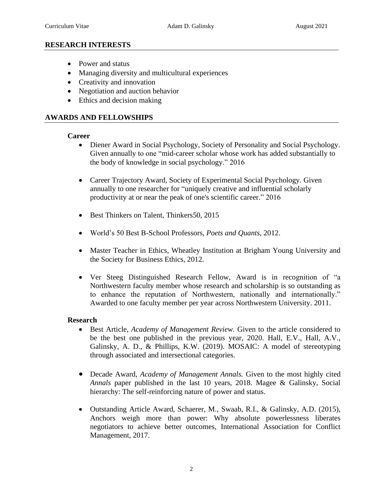## **RESEARCH INTERESTS**

- Power and status
- Managing diversity and multicultural experiences
- Creativity and innovation
- Negotiation and auction behavior
- Ethics and decision making

#### **AWARDS AND FELLOWSHIPS**

#### **Career**

- Diener Award in Social Psychology, Society of Personality and Social Psychology. Given annually to one "mid-career scholar whose work has added substantially to the body of knowledge in social psychology." 2016
- Career Trajectory Award, Society of Experimental Social Psychology. Given annually to one researcher for "uniquely creative and influential scholarly productivity at or near the peak of one's scientific career." 2016
- Best Thinkers on Talent, Thinkers50, 2015
- World's 50 Best B-School Professors, *Poets and Quants*, 2012.
- Master Teacher in Ethics, Wheatley Institution at Brigham Young University and the Society for Business Ethics, 2012.
- Ver Steeg Distinguished Research Fellow, Award is in recognition of "a Northwestern faculty member whose research and scholarship is so outstanding as to enhance the reputation of Northwestern, nationally and internationally." Awarded to one faculty member per year across Northwestern University. 2011.

#### **Research**

- Best Article, *Academy of Management Review.* Given to the article considered to be the best one published in the previous year, 2020. Hall, E.V., Hall, A.V., Galinsky, A. D., & Phillips, K.W. (2019). MOSAIC: A model of stereotyping through associated and intersectional categories.
- Decade Award, *Academy of Management Annals.* Given to the most highly cited *Annals* paper published in the last 10 years, 2018. Magee & Galinsky, Social hierarchy: The self-reinforcing nature of power and status.
- Outstanding Article Award, Schaerer, M., Swaab, R.I., & Galinsky, A.D. (2015), Anchors weigh more than power: Why absolute powerlessness liberates negotiators to achieve better outcomes, International Association for Conflict Management, 2017.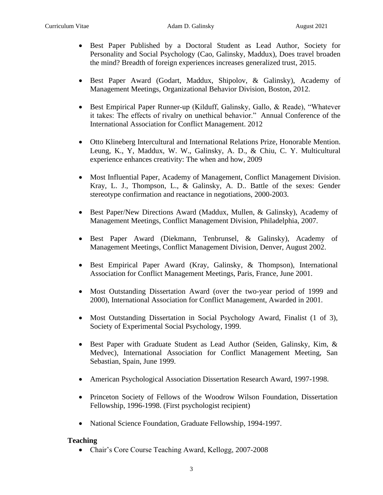- Best Paper Published by a Doctoral Student as Lead Author, Society for Personality and Social Psychology (Cao, Galinsky, Maddux), Does travel broaden the mind? Breadth of foreign experiences increases generalized trust, 2015.
- Best Paper Award (Godart, Maddux, Shipolov, & Galinsky), Academy of Management Meetings, Organizational Behavior Division, Boston, 2012.
- Best Empirical Paper Runner-up (Kilduff, Galinsky, Gallo, & Reade), "Whatever it takes: The effects of rivalry on unethical behavior." Annual Conference of the International Association for Conflict Management. 2012
- Otto Klineberg Intercultural and International Relations Prize, Honorable Mention. Leung, K., Y, Maddux, W. W., Galinsky, A. D., & Chiu, C. Y. Multicultural experience enhances creativity: The when and how, 2009
- Most Influential Paper, Academy of Management, Conflict Management Division. Kray, L. J., Thompson, L., & Galinsky, A. D.. Battle of the sexes: Gender stereotype confirmation and reactance in negotiations, 2000-2003.
- Best Paper/New Directions Award (Maddux, Mullen, & Galinsky), Academy of Management Meetings, Conflict Management Division, Philadelphia, 2007.
- Best Paper Award (Diekmann, Tenbrunsel, & Galinsky), Academy of Management Meetings, Conflict Management Division, Denver, August 2002.
- Best Empirical Paper Award (Kray, Galinsky, & Thompson), International Association for Conflict Management Meetings, Paris, France, June 2001.
- Most Outstanding Dissertation Award (over the two-year period of 1999 and 2000), International Association for Conflict Management, Awarded in 2001.
- Most Outstanding Dissertation in Social Psychology Award, Finalist (1 of 3), Society of Experimental Social Psychology, 1999.
- Best Paper with Graduate Student as Lead Author (Seiden, Galinsky, Kim, & Medvec), International Association for Conflict Management Meeting, San Sebastian, Spain, June 1999.
- American Psychological Association Dissertation Research Award, 1997-1998.
- Princeton Society of Fellows of the Woodrow Wilson Foundation, Dissertation Fellowship, 1996-1998. (First psychologist recipient)
- National Science Foundation, Graduate Fellowship, 1994-1997.

# **Teaching**

• Chair's Core Course Teaching Award, Kellogg, 2007-2008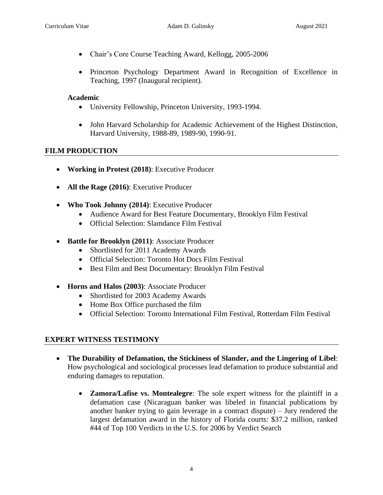- Chair's Core Course Teaching Award, Kellogg, 2005-2006
- Princeton Psychology Department Award in Recognition of Excellence in Teaching, 1997 (Inaugural recipient).

# **Academic**

- University Fellowship, Princeton University, 1993-1994.
- John Harvard Scholarship for Academic Achievement of the Highest Distinction, Harvard University, 1988-89, 1989-90, 1990-91.

# **FILM PRODUCTION**

- **Working in Protest (2018)**: Executive Producer
- **All the Rage (2016)**: Executive Producer
- **Who Took Johnny (2014)**: Executive Producer
	- Audience Award for Best Feature Documentary, Brooklyn Film Festival
	- Official Selection: Slamdance Film Festival
- **Battle for Brooklyn (2011)**: Associate Producer
	- Shortlisted for 2011 Academy Awards
	- Official Selection: Toronto Hot Docs Film Festival
	- Best Film and Best Documentary: Brooklyn Film Festival
- **Horns and Halos (2003)**: Associate Producer
	- Shortlisted for 2003 Academy Awards
	- Home Box Office purchased the film
	- Official Selection: Toronto International Film Festival, Rotterdam Film Festival

# **EXPERT WITNESS TESTIMONY**

- **The Durability of Defamation, the Stickiness of Slander, and the Lingering of Libel**: How psychological and sociological processes lead defamation to produce substantial and enduring damages to reputation.
	- **Zamora/Lafise vs. Montealegre**: The sole expert witness for the plaintiff in a defamation case (Nicaraguan banker was libeled in financial publications by another banker trying to gain leverage in a contract dispute) – Jury rendered the largest defamation award in the history of Florida courts: \$37.2 million, ranked #44 of Top 100 Verdicts in the U.S. for 2006 by Verdict Search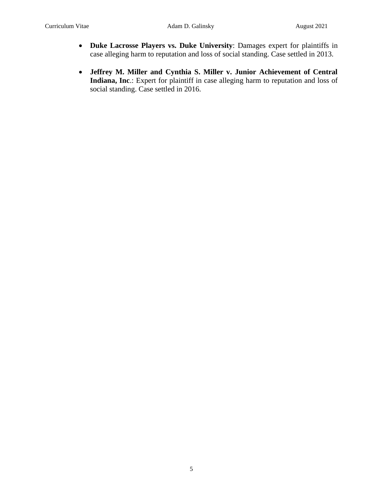- **Duke Lacrosse Players vs. Duke University**: Damages expert for plaintiffs in case alleging harm to reputation and loss of social standing. Case settled in 2013.
- **Jeffrey M. Miller and Cynthia S. Miller v. Junior Achievement of Central Indiana, Inc**.: Expert for plaintiff in case alleging harm to reputation and loss of social standing. Case settled in 2016.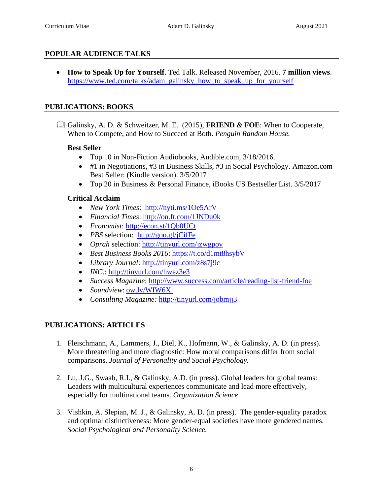# **POPULAR AUDIENCE TALKS**

• **How to Speak Up for Yourself**. Ted Talk. Released November, 2016. **7 million views**. [https://www.ted.com/talks/adam\\_galinsky\\_how\\_to\\_speak\\_up\\_for\\_yourself](https://www.ted.com/talks/adam_galinsky_how_to_speak_up_for_yourself) 

# **PUBLICATIONS: BOOKS**

 Galinsky, A. D. & Schweitzer, M. E. (2015), **FRIEND** *&* **FOE**: When to Cooperate, When to Compete, and How to Succeed at Both. *Penguin Random House.* 

# **Best Seller**

- Top 10 in Non-Fiction Audiobooks, Audible.com, 3/18/2016.
- #1 in Negotiations, #3 in Business Skills, #3 in Social Psychology. Amazon.com Best Seller: (Kindle version). 3/5/2017
- Top 20 in Business & Personal Finance, iBooks US Bestseller List. 3/5/2017

#### **Critical Acclaim**

- *New York Times*: <http://nyti.ms/1Oe5ArV>
- *Financial Times*:<http://on.ft.com/1JNDu0k>
- *Economist*:<http://econ.st/1Qb0UCt>
- *PBS* selection: <http://goo.gl/jCifFe>
- *Oprah* selection:<http://tinyurl.com/jzwgpov>
- *Best Business Books 2016*:<https://t.co/d1mt8hsybV>
- *Library Journal*:<http://tinyurl.com/z8s7j9c>
- *INC*:<http://tinyurl.com/hwez3e3>
- *Success Magazine*: <http://www.success.com/article/reading-list-friend-foe>
- *Soundview*: [ow.ly/WIW6X](https://t.co/Vrf5tq6VCv)
- *Consulting Magazine:* <http://tinyurl.com/jobmjj3>

# **PUBLICATIONS: ARTICLES**

- 1. Fleischmann, A., Lammers, J., Diel, K., Hofmann, W., & Galinsky, A. D. (in press). More threatening and more diagnostic: How moral comparisons differ from social comparisons. *Journal of Personality and Social Psychology.*
- 2. Lu, J.G., Swaab, R.I., & Galinsky, A.D. (in press). Global leaders for global teams: Leaders with multicultural experiences communicate and lead more effectively, especially for multinational teams. *Organization Science*
- 3. Vishkin, A. Slepian, M. J., & Galinsky, A. D. (in press). The gender-equality paradox and optimal distinctiveness: More gender-equal societies have more gendered names. *Social Psychological and Personality Science.*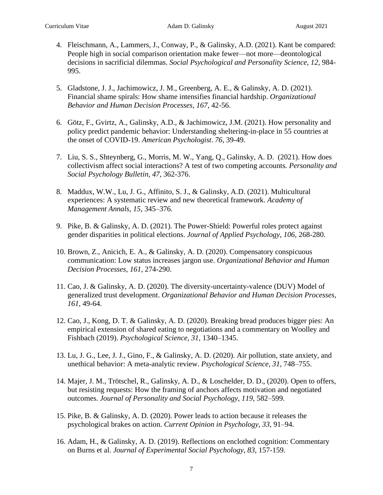- 4. Fleischmann, A., Lammers, J., Conway, P., & Galinsky, A.D. (2021). Kant be compared: People high in social comparison orientation make fewer—not more—deontological decisions in sacrificial dilemmas. *Social Psychological and Personality Science, 12,* 984- 995.
- 5. Gladstone, J. J., Jachimowicz, J. M., Greenberg, A. E., & Galinsky, A. D. (2021). Financial shame spirals: How shame intensifies financial hardship. *Organizational Behavior and Human Decision Processes, 167,* 42-56.
- 6. Götz, F., Gvirtz, A., Galinsky, A.D., & Jachimowicz, J.M. (2021). How personality and policy predict pandemic behavior: Understanding sheltering-in-place in 55 countries at the onset of COVID-19. *American Psychologist*. *76*, 39-49.
- 7. Liu, S. S., Shteynberg, G., Morris, M. W., Yang, Q., Galinsky, A. D. (2021). How does collectivism affect social interactions? A test of two competing accounts*. Personality and Social Psychology Bulletin, 47,* 362-376.
- 8. Maddux, W.W., Lu, J. G., Affinito, S. J., & Galinsky, A.D. (2021). Multicultural experiences: A systematic review and new theoretical framework. *Academy of Management Annals*, *15*, 345–376.
- 9. Pike, B. & Galinsky, A. D. (2021). The Power-Shield: Powerful roles protect against gender disparities in political elections. *Journal of Applied Psychology, 106,* 268-280.
- 10. Brown, Z., Anicich, E. A., & Galinsky, A. D. (2020). Compensatory conspicuous communication: Low status increases jargon use. *Organizational Behavior and Human Decision Processes, 161,* 274-290.
- 11. Cao, J. & Galinsky, A. D. (2020). The diversity-uncertainty-valence (DUV) Model of generalized trust development. *Organizational Behavior and Human Decision Processes, 161,* 49-64.
- 12. Cao, J., Kong, D. T. & Galinsky, A. D. (2020). Breaking bread produces bigger pies: An empirical extension of shared eating to negotiations and a commentary on Woolley and Fishbach (2019). *Psychological Science, 31,* 1340–1345.
- 13. Lu, J. G., Lee, J. J., Gino, F., & Galinsky, A. D. (2020). Air pollution, state anxiety, and unethical behavior: A meta-analytic review. *Psychological Science, 31,* 748–755.
- 14. Majer, J. M., Trötschel, R., Galinsky, A. D., & Loschelder, D. D., (2020). Open to offers, but resisting requests: How the framing of anchors affects motivation and negotiated outcomes. *Journal of Personality and Social Psychology*, *119*, 582–599.
- 15. Pike, B. & Galinsky, A. D. (2020). Power leads to action because it releases the psychological brakes on action. *Current Opinion in Psychology, 33,* 91–94.
- 16. Adam, H., & Galinsky, A. D. (2019). Reflections on enclothed cognition: Commentary on Burns et al. *Journal of Experimental Social Psychology*, *83*, 157-159.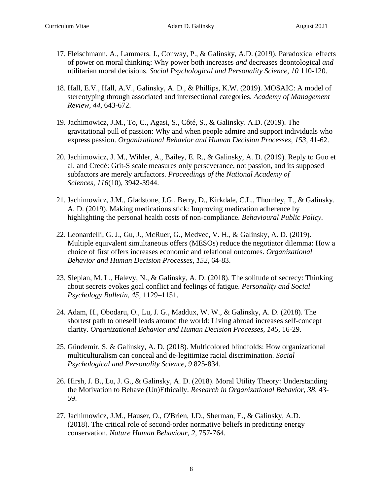- 17. Fleischmann, A., Lammers, J., Conway, P., & Galinsky, A.D. (2019). Paradoxical effects of power on moral thinking: Why power both increases *and* decreases deontological *and* utilitarian moral decisions. *Social Psychological and Personality Science, 10* 110-120.
- 18. Hall, E.V., Hall, A.V., Galinsky, A. D., & Phillips, K.W. (2019). MOSAIC: A model of stereotyping through associated and intersectional categories. *Academy of Management Review, 44,* 643-672.
- 19. Jachimowicz, J.M., To, C., Agasi, S., Côté, S., & Galinsky. A.D. (2019). The gravitational pull of passion: Why and when people admire and support individuals who express passion. *Organizational Behavior and Human Decision Processes, 153,* 41-62.
- 20. Jachimowicz, J. M., Wihler, A., Bailey, E. R., & Galinsky, A. D. (2019). Reply to Guo et al. and Credé: Grit-S scale measures only perseverance, not passion, and its supposed subfactors are merely artifactors. *Proceedings of the National Academy of Sciences*, *116*(10), 3942-3944.
- 21. Jachimowicz, J.M., Gladstone, J.G., Berry, D., Kirkdale, C.L., Thornley, T., & Galinsky. A. D. (2019). Making medications stick: Improving medication adherence by highlighting the personal health costs of non-compliance. *Behavioural Public Policy.*
- 22. Leonardelli, G. J., Gu, J., McRuer, G., Medvec, V. H., & Galinsky, A. D. (2019). Multiple equivalent simultaneous offers (MESOs) reduce the negotiator dilemma: How a choice of first offers increases economic and relational outcomes. *Organizational Behavior and Human Decision Processes*, *152*, 64-83.
- 23. Slepian, M. L., Halevy, N., & Galinsky, A. D. (2018). The solitude of secrecy: Thinking about secrets evokes goal conflict and feelings of fatigue. *Personality and Social Psychology Bulletin*, *45*, 1129–1151.
- 24. Adam, H., Obodaru, O., Lu, J. G., Maddux, W. W., & Galinsky, A. D. (2018). The shortest path to oneself leads around the world: Living abroad increases self-concept clarity. *Organizational Behavior and Human Decision Processes*, *145*, 16-29.
- 25. Gündemir, S. & Galinsky, A. D. (2018). Multicolored blindfolds: How organizational multiculturalism can conceal and de-legitimize racial discrimination. *Social Psychological and Personality Science, 9* 825-834*.*
- 26. Hirsh, J. B., Lu, J. G., & Galinsky, A. D. (2018). Moral Utility Theory: Understanding the Motivation to Behave (Un)Ethically. *Research in Organizational Behavior*, *38*, 43- 59.
- 27. Jachimowicz, J.M., Hauser, O., O'Brien, J.D., Sherman, E., & Galinsky, A.D. (2018). The critical role of second-order normative beliefs in predicting energy conservation. *Nature Human Behaviour, 2,* 757-764*.*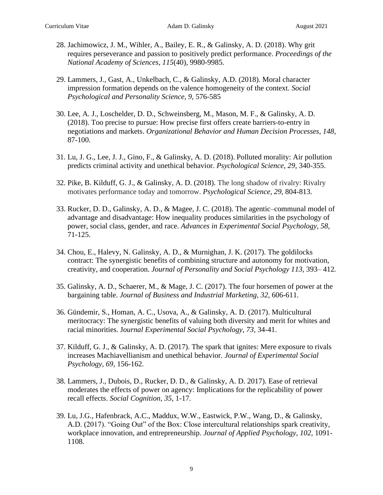- 28. Jachimowicz, J. M., Wihler, A., Bailey, E. R., & Galinsky, A. D. (2018). Why grit requires perseverance and passion to positively predict performance. *Proceedings of the National Academy of Sciences*, *115*(40), 9980-9985*.*
- 29. Lammers, J., Gast, A., Unkelbach, C., & Galinsky, A.D. (2018). Moral character impression formation depends on the valence homogeneity of the context. *Social Psychological and Personality Science, 9,* 576-585
- 30. Lee, A. J., Loschelder, D. D., Schweinsberg, M., Mason, M. F., & Galinsky, A. D. (2018). Too precise to pursue: How precise first offers create barriers-to-entry in negotiations and markets. *Organizational Behavior and Human Decision Processes*, *148*, 87-100.
- 31. Lu, J. G., Lee, J. J., Gino, F., & Galinsky, A. D. (2018). Polluted morality: Air pollution predicts criminal activity and unethical behavior. *Psychological Science*, *29*, 340-355.
- 32. Pike, B. Kilduff, G. J., & Galinsky, A. D. (2018). The long shadow of rivalry: Rivalry motivates performance today and tomorrow. *Psychological Science, 29*, 804-813.
- 33. Rucker, D. D., Galinsky, A. D., & Magee, J. C. (2018). The agentic–communal model of advantage and disadvantage: How inequality produces similarities in the psychology of power, social class, gender, and race. *Advances in Experimental Social Psychology*, *58*, 71-125.
- 34. Chou, E., Halevy, N. Galinsky, A. D., & Murnighan, J. K. (2017). The goldilocks contract: The synergistic benefits of combining structure and autonomy for motivation, creativity, and cooperation. *Journal of Personality and Social Psychology 113,* 393– 412*.*
- 35. Galinsky, A. D., Schaerer, M., & Mage, J. C. (2017). The four horsemen of power at the bargaining table. *Journal of Business and Industrial Marketing, 32,* 606-611.
- 36. Gündemir, S., Homan, A. C., Usova, A., & Galinsky, A. D. (2017). Multicultural meritocracy: The synergistic benefits of valuing both diversity and merit for whites and racial minorities. J*ournal Experimental Social Psychology, 73,* 34-41.
- 37. Kilduff, G. J., & Galinsky, A. D. (2017). The spark that ignites: Mere exposure to rivals increases Machiavellianism and unethical behavior. *Journal of Experimental Social Psychology, 69,* 156-162*.*
- 38. Lammers, J., Dubois, D., Rucker, D. D., & Galinsky, A. D. 2017). Ease of retrieval moderates the effects of power on agency: Implications for the replicability of power recall effects. *Social Cognition, 35,* 1-17*.*
- 39. Lu, J.G., Hafenbrack, A.C., Maddux, W.W., Eastwick, P.W., Wang, D., & Galinsky, A.D. (2017). "Going Out" of the Box: Close intercultural relationships spark creativity, workplace innovation, and entrepreneurship. *Journal of Applied Psychology, 102,* 1091- 1108*.*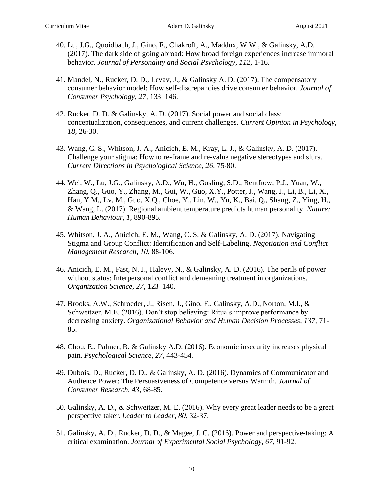- 40. Lu, J.G., Quoidbach, J., Gino, F., Chakroff, A., Maddux, W.W., & Galinsky, A.D. (2017). The dark side of going abroad: How broad foreign experiences increase immoral behavior. *Journal of Personality and Social Psychology, 112,* 1-16*.*
- 41. Mandel, N., Rucker, D. D., Levav, J., & Galinsky A. D. (2017). The compensatory consumer behavior model: How self-discrepancies drive consumer behavior. *Journal of Consumer Psychology, 27,* 133–146.
- 42. Rucker, D. D. & Galinsky, A. D. (2017). Social power and social class: conceptualization, consequences, and current challenges. *Current Opinion in Psychology, 18,* 26-30.
- 43. Wang, C. S., Whitson, J. A., Anicich, E. M., Kray, L. J., & Galinsky, A. D. (2017). Challenge your stigma: How to re-frame and re-value negative stereotypes and slurs. *Current Directions in Psychological Science, 26,* 75-80.
- 44. Wei, W., Lu, J.G., Galinsky, A.D., Wu, H., Gosling, S.D., Rentfrow, P.J., Yuan, W., Zhang, Q., Guo, Y., Zhang, M., Gui, W., Guo, X.Y., Potter, J., Wang, J., Li, B., Li, X., Han, Y.M., Lv, M., Guo, X.Q., Choe, Y., Lin, W., Yu, K., Bai, Q., Shang, Z., Ying, H., & Wang, L. (2017). Regional ambient temperature predicts human personality. *Nature: Human Behaviour*, *1*, 890-895.
- 45. Whitson, J. A., Anicich, E. M., Wang, C. S. & Galinsky, A. D. (2017). Navigating Stigma and Group Conflict: Identification and Self-Labeling. *Negotiation and Conflict Management Research*, *10*, 88-106.
- 46. Anicich, E. M., Fast, N. J., Halevy, N., & Galinsky, A. D. (2016). The perils of power without status: Interpersonal conflict and demeaning treatment in organizations. *Organization Science, 27,* 123–140.
- 47. Brooks, A.W., Schroeder, J., Risen, J., Gino, F., Galinsky, A.D., Norton, M.I., & Schweitzer, M.E. (2016). Don't stop believing: Rituals improve performance by decreasing anxiety. *Organizational Behavior and Human Decision Processes, 137,* 71- 85.
- 48. Chou, E., Palmer, B. & Galinsky A.D. (2016). Economic insecurity increases physical pain. *Psychological Science, 27,* 443-454.
- 49. Dubois, D., Rucker, D. D., & Galinsky, A. D. (2016). Dynamics of Communicator and Audience Power: The Persuasiveness of Competence versus Warmth. *Journal of Consumer Research, 43*, 68-85.
- 50. Galinsky, A. D., & Schweitzer, M. E. (2016). Why every great leader needs to be a great perspective taker. *Leader to Leader*, *80*, 32-37.
- 51. Galinsky, A. D., Rucker, D. D., & Magee, J. C. (2016). Power and perspective-taking: A critical examination. *Journal of Experimental Social Psychology, 67,* 91-92*.*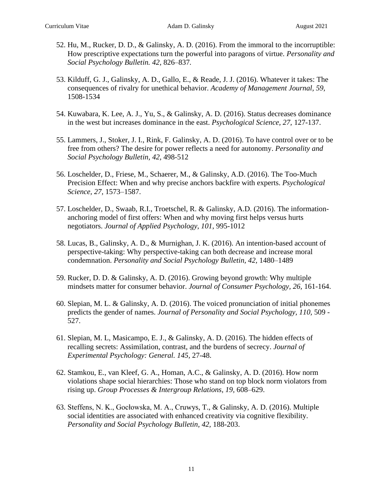- 52. Hu, M., Rucker, D. D., & Galinsky, A. D. (2016). From the immoral to the incorruptible: How prescriptive expectations turn the powerful into paragons of virtue. *Personality and Social Psychology Bulletin. 42,* 826–837*.*
- 53. Kilduff, G. J., Galinsky, A. D., Gallo, E., & Reade, J. J. (2016). Whatever it takes: The consequences of rivalry for unethical behavior. *Academy of Management Journal, 59,*  1508-1534
- 54. Kuwabara, K. Lee, A. J., Yu, S., & Galinsky, A. D. (2016). Status decreases dominance in the west but increases dominance in the east. *Psychological Science, 27,* 127-137.
- 55. Lammers, J., Stoker, J. I., Rink, F. Galinsky, A. D. (2016). To have control over or to be free from others? The desire for power reflects a need for autonomy. *Personality and Social Psychology Bulletin, 42,* 498-512
- 56. Loschelder, D., Friese, M., Schaerer, M., & Galinsky, A.D. (2016). The Too-Much Precision Effect: When and why precise anchors backfire with experts. *Psychological Science, 27,* 1573–1587.
- 57. Loschelder, D., Swaab, R.I., Troetschel, R. & Galinsky, A.D. (2016). The informationanchoring model of first offers: When and why moving first helps versus hurts negotiators. *Journal of Applied Psychology*, *101*, 995-1012
- 58. Lucas, B., Galinsky, A. D., & Murnighan, J. K. (2016). An intention-based account of perspective-taking: Why perspective-taking can both decrease and increase moral condemnation. *Personality and Social Psychology Bulletin, 42,* 1480–1489
- 59. Rucker, D. D. & Galinsky, A. D. (2016). Growing beyond growth: Why multiple mindsets matter for consumer behavior. *Journal of Consumer Psychology, 26,* 161-164.
- 60. Slepian, M. L. & Galinsky, A. D. (2016). The voiced pronunciation of initial phonemes predicts the gender of names. *Journal of Personality and Social Psychology, 110, 509 -*527.
- 61. Slepian, M. L, Masicampo, E. J., & Galinsky, A. D. (2016). The hidden effects of recalling secrets: Assimilation, contrast, and the burdens of secrecy. *Journal of Experimental Psychology: General. 145,* 27-48.
- 62. Stamkou, E., van Kleef, G. A., Homan, A.C., & Galinsky, A. D. (2016). How norm violations shape social hierarchies: Those who stand on top block norm violators from rising up. *Group Processes & Intergroup Relations, 19,* 608–629.
- 63. Steffens, N. K., Gocłowska, M. A., Cruwys, T., & Galinsky, A. D. (2016). Multiple social identities are associated with enhanced creativity via cognitive flexibility. *Personality and Social Psychology Bulletin, 42,* 188-203.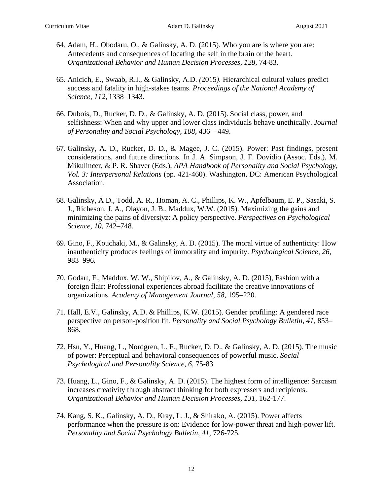- 64. Adam, H., Obodaru, O., & Galinsky, A. D. (2015). Who you are is where you are: Antecedents and consequences of locating the self in the brain or the heart. *Organizational Behavior and Human Decision Processes, 128,* 74-83.
- 65. Anicich, E., Swaab, R.I., & Galinsky, A.D. *(*2015*).* Hierarchical cultural values predict success and fatality in high-stakes teams. *Proceedings of the National Academy of Science, 112,* 1338–1343*.*
- 66. Dubois, D., Rucker, D. D., & Galinsky, A. D. (2015). Social class, power, and selfishness: When and why upper and lower class individuals behave unethically. *Journal of Personality and Social Psychology, 108,* 436 – 449.
- 67. Galinsky, A. D., Rucker, D. D., & Magee, J. C. (2015). Power: Past findings, present considerations, and future directions. In J. A. Simpson, J. F. Dovidio (Assoc. Eds.), M. Mikulincer, & P. R. Shaver (Eds.), *APA Handbook of Personality and Social Psychology, Vol. 3: Interpersonal Relations* (pp. 421-460). Washington, DC: American Psychological Association.
- 68. Galinsky, A D., Todd, A. R., Homan, A. C., Phillips, K. W., Apfelbaum, E. P., Sasaki, S. J., Richeson, J. A., Olayon, J. B., Maddux, W.W. (2015). Maximizing the gains and minimizing the pains of diversiyz: A policy perspective. *Perspectives on Psychological Science, 10,* 742–748*.*
- 69. Gino, F., Kouchaki, M., & Galinsky, A. D. (2015). The moral virtue of authenticity: How inauthenticity produces feelings of immorality and impurity. *Psychological Science, 26,*  983–996*.*
- 70. Godart, F., Maddux, W. W., Shipilov, A., & Galinsky, A. D. (2015), Fashion with a foreign flair: Professional experiences abroad facilitate the creative innovations of organizations. *Academy of Management Journal, 58,* 195–220*.*
- 71. Hall, E.V., Galinsky, A.D. & Phillips, K.W. (2015). Gender profiling: A gendered race perspective on person-position fit. *Personality and Social Psychology Bulletin, 41,* 853– 868*.*
- 72. Hsu, Y., Huang, L., Nordgren, L. F., Rucker, D. D., & Galinsky, A. D. (2015). The music of power: Perceptual and behavioral consequences of powerful music. *Social Psychological and Personality Science, 6,* 75-83
- 73. Huang, L., Gino, F., & Galinsky, A. D. (2015). The highest form of intelligence: Sarcasm increases creativity through abstract thinking for both expressers and recipients. *Organizational Behavior and Human Decision Processes, 131,* 162-177.
- 74. Kang, S. K., Galinsky, A. D., Kray, L. J., & Shirako, A. (2015). Power affects performance when the pressure is on: Evidence for low-power threat and high-power lift. *Personality and Social Psychology Bulletin, 41,* 726-725*.*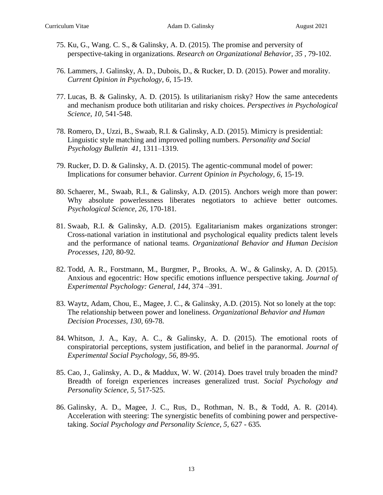- 75. Ku, G., Wang. C. S., & Galinsky, A. D. (2015). The promise and perversity of perspective-taking in organizations. *Research on Organizational Behavior, 35 ,* 79-102.
- 76. Lammers, J. Galinsky, A. D., Dubois, D., & Rucker, D. D. (2015). Power and morality. *Current Opinion in Psychology, 6,* 15-19.
- 77. Lucas, B. & Galinsky, A. D. (2015). Is utilitarianism risky? How the same antecedents and mechanism produce both utilitarian and risky choices. *Perspectives in Psychological Science, 10,* 541-548.
- 78. Romero, D., Uzzi, B., Swaab, R.I. & Galinsky, A.D. (2015). Mimicry is presidential: Linguistic style matching and improved polling numbers. *Personality and Social Psychology Bulletin 41,* 1311–1319.
- 79. Rucker, D. D. & Galinsky, A. D. (2015). The agentic-communal model of power: Implications for consumer behavior. *Current Opinion in Psychology, 6,* 15-19.
- 80. Schaerer, M., Swaab, R.I., & Galinsky, A.D. (2015). Anchors weigh more than power: Why absolute powerlessness liberates negotiators to achieve better outcomes. *Psychological Science, 26,* 170-181*.*
- 81. Swaab, R.I. & Galinsky, A.D. (2015). Egalitarianism makes organizations stronger: Cross-national variation in institutional and psychological equality predicts talent levels and the performance of national teams. *Organizational Behavior and Human Decision Processes, 120,* 80-92*.*
- 82. Todd, A. R., Forstmann, M., Burgmer, P., Brooks, A. W., & Galinsky, A. D. (2015). Anxious and egocentric: How specific emotions influence perspective taking. *Journal of Experimental Psychology: General*, *144*, 374 –391.
- 83. Waytz, Adam, Chou, E., Magee, J. C., & Galinsky, A.D. (2015). Not so lonely at the top: The relationship between power and loneliness. *Organizational Behavior and Human Decision Processes, 130,* 69-78.
- 84. Whitson, J. A., Kay, A. C., & Galinsky, A. D. (2015). The emotional roots of conspiratorial perceptions, system justification, and belief in the paranormal. *Journal of Experimental Social Psychology, 56,* 89-95.
- 85. Cao, J., Galinsky, A. D., & Maddux, W. W. (2014). Does travel truly broaden the mind? Breadth of foreign experiences increases generalized trust. *Social Psychology and Personality Science, 5,* 517-525.
- 86. Galinsky, A. D., Magee, J. C., Rus, D., Rothman, N. B., & Todd, A. R. (2014). Acceleration with steering: The synergistic benefits of combining power and perspectivetaking. *Social Psychology and Personality Science, 5,* 627 - 635*.*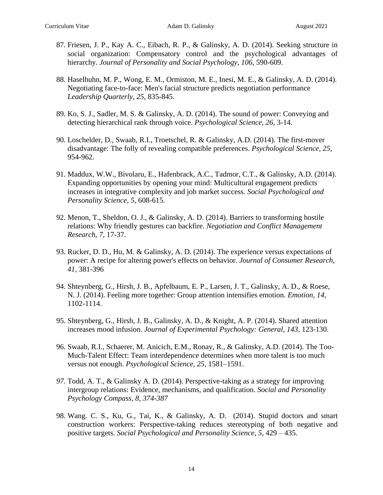- 87. Friesen, J. P., Kay A. C., Eibach, R. P., & Galinsky, A. D. (2014). Seeking structure in social organization: Compensatory control and the psychological advantages of hierarchy. *Journal of Personality and Social Psychology*, *106*, 590-609.
- 88. Haselhuhn, M. P., Wong, E. M., Ormiston, M. E., Inesi, M. E., & Galinsky, A. D. (2014). Negotiating face-to-face: Men's facial structure predicts negotiation performance *Leadership Quarterly, 25,* 835-845.
- 89. Ko, S. J., Sadler, M. S. & Galinsky, A. D. (2014). The sound of power: Conveying and detecting hierarchical rank through voice. *Psychological Science, 26,* 3-14.
- 90. Loschelder, D., Swaab, R.I., Troetschel, R. & Galinsky, A.D. (2014). The first-mover disadvantage: The folly of revealing compatible preferences. *Psychological Science*, *25*, 954-962.
- 91. Maddux, W.W., Bivolaru, E., Hafenbrack, A.C., Tadmor, C.T., & Galinsky, A.D. (2014). Expanding opportunities by opening your mind: Multicultural engagement predicts increases in integrative complexity and job market success. *Social Psychological and Personality Science, 5,* 608-615*.*
- 92. Menon, T., Sheldon, O. J., & Galinsky, A. D. (2014). Barriers to transforming hostile relations: Why friendly gestures can backfire. *Negotiation and Conflict Management Research*, *7*, 17-37.
- 93. Rucker, D. D., Hu, M. & Galinsky, A. D. (2014). The experience versus expectations of power: A recipe for altering power's effects on behavior. *Journal of Consumer Research*, *41*, 381-396
- 94. Shteynberg, G., Hirsh, J. B., Apfelbaum, E. P., Larsen, J. T., Galinsky, A. D., & Roese, N. J. (2014). Feeling more together: Group attention intensifies emotion. *Emotion, 14,*  1102-1114.
- 95. Shteynberg, G., Hirsh, J. B., Galinsky, A. D., & Knight, A. P. (2014). Shared attention increases mood infusion. *Journal of Experimental Psychology: General, 143*, 123-130.
- 96. Swaab, R.I., Schaerer, M. Anicich, E.M., Ronay, R., & Galinsky, A.D. (2014). The Too-Much-Talent Effect: Team interdependence determines when more talent is too much versus not enough. *Psychological Science, 25,* 1581–1591.
- *97.* Todd, A. T., & Galinsky A. D. (2014). Perspective-taking as a strategy for improving intergroup relations: Evidence, mechanisms, and qualification. *Social and Personality Psychology Compass, 8, 374-387*
- 98. Wang. C. S., Ku, G., Tai, K., & Galinsky, A. D. (2014). Stupid doctors and smart construction workers: Perspective-taking reduces stereotyping of both negative and positive targets. *Social Psychological and Personality Science, 5,* 429 – 435.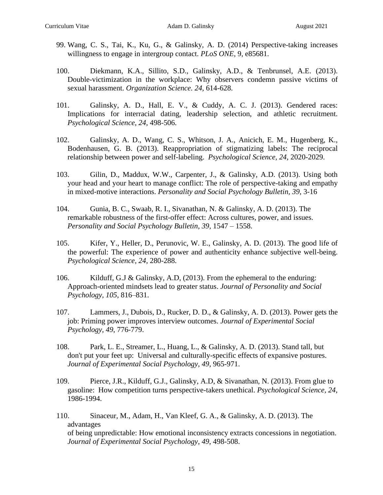- 99. Wang, C. S., Tai, K., Ku, G., & Galinsky, A. D. (2014) Perspective-taking increases willingness to engage in intergroup contact. *PLoS ONE*, 9, e85681.
- 100. Diekmann, K.A., Sillito, S.D., Galinsky, A.D., & Tenbrunsel, A.E. (2013). Double-victimization in the workplace: Why observers condemn passive victims of sexual harassment. *Organization Science. 24,* 614-628.
- 101. Galinsky, A. D., Hall, E. V., & Cuddy, A. C. J. (2013). Gendered races: Implications for interracial dating, leadership selection, and athletic recruitment. *Psychological Science, 24,* 498-506.
- 102. Galinsky, A. D., Wang, C. S., Whitson, J. A., Anicich, E. M., Hugenberg, K., Bodenhausen, G. B. (2013). Reappropriation of stigmatizing labels: The reciprocal relationship between power and self-labeling. *Psychological Science, 24,* 2020-2029.
- 103. Gilin, D., Maddux, W.W., Carpenter, J., & Galinsky, A.D. (2013). Using both your head and your heart to manage conflict: The role of perspective-taking and empathy in mixed-motive interactions. *Personality and Social Psychology Bulletin, 39*, 3-16
- 104. Gunia, B. C., Swaab, R. I., Sivanathan, N. & Galinsky, A. D. (2013). The remarkable robustness of the first-offer effect: Across cultures, power, and issues. *Personality and Social Psychology Bulletin, 39,* 1547 – 1558.
- 105. Kifer, Y., Heller, D., Perunovic, W. E., Galinsky, A. D. (2013). The good life of the powerful: The experience of power and authenticity enhance subjective well-being. *Psychological Science, 24,* 280-288.
- 106. Kilduff, G.J & Galinsky, A.D, (2013). From the ephemeral to the enduring: Approach-oriented mindsets lead to greater status. *Journal of Personality and Social Psychology, 105,* 816–831.
- 107. Lammers, J., Dubois, D., Rucker, D. D., & Galinsky, A. D. (2013). Power gets the job: Priming power improves interview outcomes. *Journal of Experimental Social Psychology*, *49*, 776-779.
- 108. Park, L. E., Streamer, L., Huang, L., & Galinsky, A. D. (2013). Stand tall, but don't put your feet up: Universal and culturally-specific effects of expansive postures. *Journal of Experimental Social Psychology, 49,* 965-971.
- 109. Pierce, J.R., Kilduff, G.J., Galinsky, A.D, & Sivanathan, N. (2013). From glue to gasoline: How competition turns perspective-takers unethical. *Psychological Science, 24,*  1986-1994.
- 110. Sinaceur, M., Adam, H., Van Kleef, G. A., & Galinsky, A. D. (2013). The advantages of being unpredictable: How emotional inconsistency extracts concessions in negotiation. *Journal of Experimental Social Psychology, 49,* 498-508.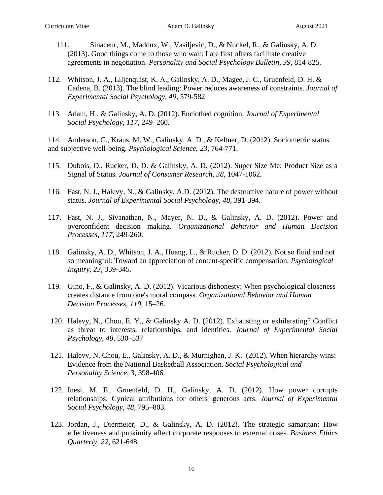- 111. Sinaceur, M., Maddux, W., Vasiljevic, D., & Nuckel, R., & Galinsky, A. D. (2013). Good things come to those who wait: Late first offers facilitate creative agreements in negotiation. *Personality and Social Psychology Bulletin*, *39*, 814-825.
- 112. Whitson, J. A., Liljenquist, K. A., Galinsky, A. D., Magee, J. C., Gruenfeld, D. H, & Cadena, B. (2013). The blind leading: Power reduces awareness of constraints. *Journal of Experimental Social Psychology, 49,* 579-582
- 113. Adam, H., & Galinsky, A. D. (2012). Enclothed cognition. *Journal of Experimental Social Psychology, 117,* 249–260.

114. Anderson, C., Kraus, M. W., Galinsky, A. D., & Keltner, D. (2012). Sociometric status and subjective well-being. *Psychological Science*, *23*, 764-771.

- 115. Dubois, D., Rucker, D. D. & Galinsky, A. D. (2012). Super Size Me: Product Size as a Signal of Status. *Journal of Consumer Research, 38,* 1047-1062*.*
- 116. Fast, N. J., Halevy, N., & Galinsky, A.D. (2012). The destructive nature of power without status. *Journal of Experimental Social Psychology, 48,* 391-394.
- 117. Fast, N. J., Sivanathan, N., Mayer, N. D., & Galinsky, A. D. (2012). Power and overconfident decision making. *Organizational Behavior and Human Decision Processes, 117,* 249-260.
- 118. Galinsky, A. D., Whitson, J. A., Huang, L., & Rucker, D. D. (2012). Not so fluid and not so meaningful: Toward an appreciation of content-specific compensation. *Psychological Inquiry, 23*, 339-345.
- 119. Gino, F., & Galinsky, A. D. (2012). Vicarious dishonesty: When psychological closeness creates distance from one's moral compass. *Organizational Behavior and Human Decision Processes, 119,* 15–26.
- 120. Halevy, N., Chou, E. Y., & Galinsky A. D. (2012). Exhausting or exhilarating? Conflict as threat to interests, relationships, and identities. *Journal of Experimental Social Psychology*, *48*, 530–537
- 121. Halevy, N. Chou, E., Galinsky, A. D., & Murnighan, J. K. (2012). When hierarchy wins: Evidence from the National Basketball Association. *Social Psychological and Personality Science, 3,* 398-406.
- 122. Inesi, M. E., Gruenfeld, D. H., Galinsky, A. D. (2012). How power corrupts relationships: Cynical attributions for others' generous acts. *Journal of Experimental Social Psychology, 48,* 795–803.
- 123. Jordan, J., Diermeier, D., & Galinsky, A. D. (2012). The strategic samaritan: How effectiveness and proximity affect corporate responses to external crises. *Business Ethics Quarterly, 22,* 621-648.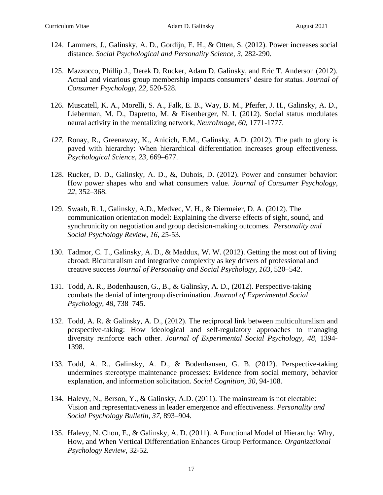- 124. Lammers, J., Galinsky, A. D., Gordijn, E. H., & Otten, S. (2012). Power increases social distance. *Social Psychological and Personality Science, 3,* 282-290.
- 125. Mazzocco, Phillip J., Derek D. Rucker, Adam D. Galinsky, and Eric T. Anderson (2012). Actual and vicarious group membership impacts consumers' desire for status. *Journal of Consumer Psychology, 22,* 520-528.
- 126. Muscatell, K. A., Morelli, S. A., Falk, E. B., Way, B. M., Pfeifer, J. H., Galinsky, A. D., Lieberman, M. D., Dapretto, M. & Eisenberger, N. I. (2012). Social status modulates neural activity in the mentalizing network, *NeuroImage, 60,* 1771-1777.
- *127.* Ronay, R., Greenaway, K., Anicich, E.M., Galinsky, A.D. (2012). The path to glory is paved with hierarchy: When hierarchical differentiation increases group effectiveness. *Psychological Science, 23,* 669–677.
- 128. Rucker, D. D., Galinsky, A. D., &, Dubois, D. (2012). Power and consumer behavior: How power shapes who and what consumers value. *Journal of Consumer Psychology, 22,* 352–368.
- 129. Swaab, R. I., Galinsky, A.D., Medvec, V. H., & Diermeier, D. A. (2012). The communication orientation model: Explaining the diverse effects of sight, sound, and synchronicity on negotiation and group decision-making outcomes. *Personality and Social Psychology Review, 16,* 25-53*.*
- 130. Tadmor, C. T., Galinsky, A. D., & Maddux, W. W. (2012). Getting the most out of living abroad: Biculturalism and integrative complexity as key drivers of professional and creative success *Journal of Personality and Social Psychology, 103,* 520–542.
- 131. Todd, A. R., Bodenhausen, G., B., & Galinsky, A. D., (2012). Perspective-taking combats the denial of intergroup discrimination. *Journal of Experimental Social Psychology, 48,* 738–745.
- 132. Todd, A. R. & Galinsky, A. D., (2012). The reciprocal link between multiculturalism and perspective-taking: How ideological and self-regulatory approaches to managing diversity reinforce each other. *Journal of Experimental Social Psychology, 48,* 1394- 1398.
- 133. Todd, A. R., Galinsky, A. D., & Bodenhausen, G. B. (2012). Perspective-taking undermines stereotype maintenance processes: Evidence from social memory, behavior explanation, and information solicitation. *Social Cognition*, *30*, 94-108.
- 134. Halevy, N., Berson, Y., & Galinsky, A.D. (2011). The mainstream is not electable: Vision and representativeness in leader emergence and effectiveness. *Personality and Social Psychology Bulletin, 37,* 893–904*.*
- 135. Halevy, N. Chou, E., & Galinsky, A. D. (2011). A Functional Model of Hierarchy: Why, How, and When Vertical Differentiation Enhances Group Performance. *Organizational Psychology Review,* 32-52*.*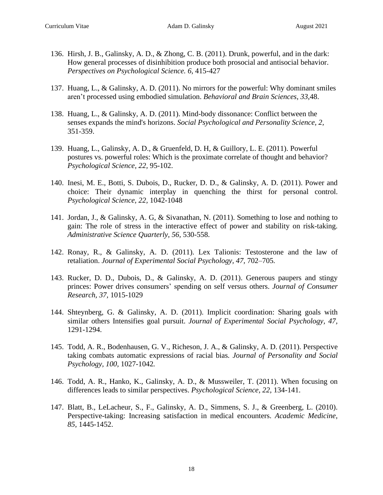- 136. Hirsh, J. B., Galinsky, A. D., & Zhong, C. B. (2011). Drunk, powerful, and in the dark: How general processes of disinhibition produce both prosocial and antisocial behavior. *Perspectives on Psychological Science. 6,* 415-427
- 137. Huang, L., & Galinsky, A. D. (2011). No mirrors for the powerful: Why dominant smiles aren't processed using embodied simulation. *Behavioral and Brain Sciences*, *33*,48.
- 138. Huang, L., & Galinsky, A. D. (2011). Mind-body dissonance: Conflict between the senses expands the mind's horizons. *Social Psychological and Personality Science, 2,*  351-359.
- 139. Huang, L., Galinsky, A. D., & Gruenfeld, D. H, & Guillory, L. E. (2011). Powerful postures vs. powerful roles: Which is the proximate correlate of thought and behavior? *Psychological Science, 22,* 95-102.
- 140. Inesi, M. E., Botti, S. Dubois, D., Rucker, D. D., & Galinsky, A. D. (2011). Power and choice: Their dynamic interplay in quenching the thirst for personal control. *Psychological Science, 22,* 1042-1048
- 141. Jordan, J., & Galinsky, A. G, & Sivanathan, N. (2011). Something to lose and nothing to gain: The role of stress in the interactive effect of power and stability on risk-taking. *Administrative Science Quarterly, 56,* 530-558.
- 142. Ronay, R., & Galinsky, A. D. (2011). Lex Talionis: Testosterone and the law of retaliation. *Journal of Experimental Social Psychology, 47, 702–705.*
- 143. Rucker, D. D., Dubois, D., & Galinsky, A. D. (2011). Generous paupers and stingy princes: Power drives consumers' spending on self versus others. *Journal of Consumer Research, 37,* 1015-1029
- 144. Shteynberg, G. & Galinsky, A. D. (2011). Implicit coordination: Sharing goals with similar others Intensifies goal pursuit. *Journal of Experimental Social Psychology, 47,*  1291-1294.
- 145. Todd, A. R., Bodenhausen, G. V., Richeson, J. A., & Galinsky, A. D. (2011). Perspective taking combats automatic expressions of racial bias*. Journal of Personality and Social Psychology, 100,* 1027-1042*.*
- 146. Todd, A. R., Hanko, K., Galinsky, A. D., & Mussweiler, T. (2011). When focusing on differences leads to similar perspectives. *Psychological Science, 22,* 134-141.
- 147. Blatt, B., LeLacheur, S., F., Galinsky, A. D., Simmens, S. J., & Greenberg, L. (2010). Perspective-taking: Increasing satisfaction in medical encounters. *Academic Medicine, 85*, 1445-1452.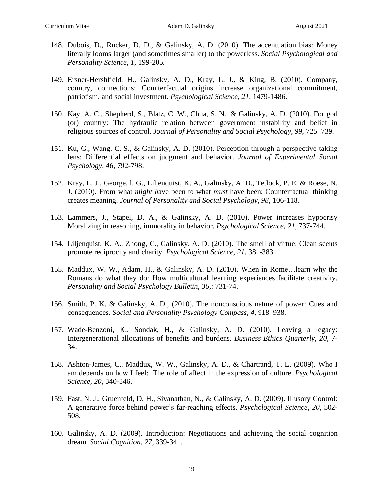- 148. Dubois, D., Rucker, D. D., & Galinsky, A. D. (2010). The accentuation bias: Money literally looms larger (and sometimes smaller) to the powerless. *Social Psychological and Personality Science, 1,* 199-205*.*
- 149. Ersner-Hershfield, H., Galinsky, A. D., Kray, L. J., & King, B. (2010). Company, country, connections: Counterfactual origins increase organizational commitment, patriotism, and social investment. *Psychological Science, 21,* 1479-1486.
- 150. Kay, A. C., Shepherd, S., Blatz, C. W., Chua, S. N., & Galinsky, A. D. (2010). For god (or) country: The hydraulic relation between government instability and belief in religious sources of control. *Journal of Personality and Social Psychology, 99*, 725–739.
- 151. Ku, G., Wang. C. S., & Galinsky, A. D. (2010). Perception through a perspective-taking lens: Differential effects on judgment and behavior. *Journal of Experimental Social Psychology, 46,* 792-798.
- 152. Kray, L. J., George, l. G., Liljenquist, K. A., Galinsky, A. D., Tetlock, P. E. & Roese, N. J. (2010). From what *might h*ave been to what *must* have been: Counterfactual thinking creates meaning. *Journal of Personality and Social Psychology, 98,* 106-118*.*
- 153. Lammers, J., Stapel, D. A., & Galinsky, A. D. (2010). Power increases hypocrisy Moralizing in reasoning, immorality in behavior. *Psychological Science, 21,* 737-744.
- 154. Liljenquist, K. A., Zhong, C., Galinsky, A. D. (2010). The smell of virtue: Clean scents promote reciprocity and charity. *Psychological Science, 21,* 381-383*.*
- 155. Maddux, W. W., Adam, H., & Galinsky, A. D. (2010). When in Rome…learn why the Romans do what they do: How multicultural learning experiences facilitate creativity. *Personality and Social Psychology Bulletin, 36,*: 731-74.
- 156. Smith, P. K. & Galinsky, A. D., (2010). The nonconscious nature of power: Cues and consequences. *Social and Personality Psychology Compass, 4,* 918–938*.*
- 157. Wade-Benzoni, K., Sondak, H., & Galinsky, A. D. (2010). Leaving a legacy: Intergenerational allocations of benefits and burdens. *Business Ethics Quarterly, 20,* 7- 34.
- 158. Ashton-James, C., Maddux, W. W., Galinsky, A. D., & Chartrand, T. L. (2009). Who I am depends on how I feel: The role of affect in the expression of culture. *Psychological Science, 20,* 340-346.
- 159. Fast, N. J., Gruenfeld, D. H., Sivanathan, N., & Galinsky, A. D. (2009). Illusory Control: A generative force behind power's far-reaching effects. *Psychological Science, 20*, 502- 508.
- 160. Galinsky, A. D. (2009). Introduction: Negotiations and achieving the social cognition dream. *Social Cognition, 27,* 339-341.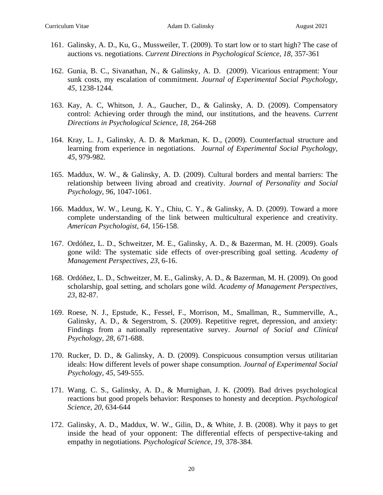- 161. Galinsky, A. D., Ku, G., Mussweiler, T. (2009). To start low or to start high? The case of auctions vs. negotiations. *Current Directions in Psychological Science*, *18*, 357-361
- 162. Gunia, B. C., Sivanathan, N., & Galinsky, A. D. (2009). Vicarious entrapment: Your sunk costs, my escalation of commitment. *Journal of Experimental Social Psychology, 45,* 1238-1244*.*
- 163. Kay, A. C, Whitson, J. A., Gaucher, D., & Galinsky, A. D. (2009). Compensatory control: Achieving order through the mind, our institutions, and the heavens. *Current Directions in Psychological Science*, *18*, 264-268
- 164. Kray, L. J., Galinsky, A. D. & Markman, K. D., (2009). Counterfactual structure and learning from experience in negotiations. *Journal of Experimental Social Psychology, 45*, 979-982*.*
- 165. Maddux, W. W., & Galinsky, A. D. (2009). Cultural borders and mental barriers: The relationship between living abroad and creativity. *Journal of Personality and Social Psychology, 96*, 1047-1061.
- 166. Maddux, W. W., Leung, K. Y., Chiu, C. Y., & Galinsky, A. D. (2009). Toward a more complete understanding of the link between multicultural experience and creativity. *American Psychologist*, *64*, 156-158.
- 167. Ordóñez, L. D., Schweitzer, M. E., Galinsky, A. D., & Bazerman, M. H. (2009). Goals gone wild: The systematic side effects of over-prescribing goal setting. *Academy of Management Perspectives*, *23*, 6-16.
- 168. Ordóñez, L. D., Schweitzer, M. E., Galinsky, A. D., & Bazerman, M. H. (2009). On good scholarship, goal setting, and scholars gone wild. *Academy of Management Perspectives*, *23*, 82-87.
- 169. Roese, N. J., Epstude, K., Fessel, F., Morrison, M., Smallman, R., Summerville, A., Galinsky, A. D., & Segerstrom, S. (2009). Repetitive regret, depression, and anxiety: Findings from a nationally representative survey. *Journal of Social and Clinical Psychology, 28,* 671-688.
- 170. Rucker, D. D., & Galinsky, A. D. (2009). Conspicuous consumption versus utilitarian ideals: How different levels of power shape consumption. *Journal of Experimental Social Psychology, 45,* 549-555.
- 171. Wang. C. S., Galinsky, A. D., & Murnighan, J. K. (2009). Bad drives psychological reactions but good propels behavior: Responses to honesty and deception. *Psychological Science*, *20*, 634-644
- 172. Galinsky, A. D., Maddux, W. W., Gilin, D., & White, J. B. (2008). Why it pays to get inside the head of your opponent: The differential effects of perspective-taking and empathy in negotiations. *Psychological Science, 19,* 378-384.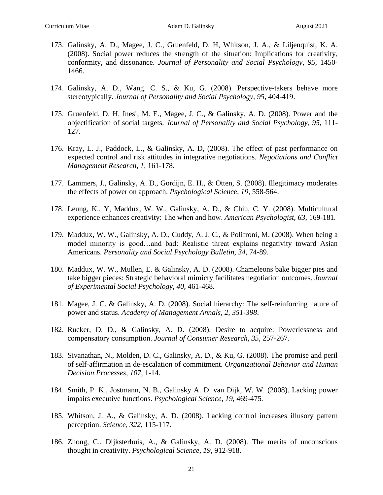- 173. Galinsky, A. D., Magee, J. C., Gruenfeld, D. H, Whitson, J. A., & Liljenquist, K. A. (2008). Social power reduces the strength of the situation: Implications for creativity, conformity, and dissonance. *Journal of Personality and Social Psychology, 95*, 1450- 1466.
- 174. Galinsky, A. D., Wang. C. S., & Ku, G. (2008). Perspective-takers behave more stereotypically. *Journal of Personality and Social Psychology, 95*, 404-419.
- 175. Gruenfeld, D. H, Inesi, M. E., Magee, J. C., & Galinsky, A. D. (2008). Power and the objectification of social targets. *Journal of Personality and Social Psychology, 95*, 111- 127.
- 176. Kray, L. J., Paddock, L., & Galinsky, A. D, (2008). The effect of past performance on expected control and risk attitudes in integrative negotiations. *Negotiations and Conflict Management Research, 1,* 161-178.
- 177. Lammers, J., Galinsky, A. D., Gordijn, E. H., & Otten, S. (2008). Illegitimacy moderates the effects of power on approach. *Psychological Science, 19,* 558-564.
- 178. Leung, K., Y, Maddux, W. W., Galinsky, A. D., & Chiu, C. Y. (2008). Multicultural experience enhances creativity: The when and how. *American Psychologist, 63*, 169-181*.*
- 179. Maddux, W. W., Galinsky, A. D., Cuddy, A. J. C., & Polifroni, M. (2008). When being a model minority is good…and bad: Realistic threat explains negativity toward Asian Americans. *Personality and Social Psychology Bulletin, 34*, 74-89.
- 180. Maddux, W. W., Mullen, E. & Galinsky, A. D. (2008). Chameleons bake bigger pies and take bigger pieces: Strategic behavioral mimicry facilitates negotiation outcomes. *Journal of Experimental Social Psychology, 40,* 461-468.
- 181. Magee, J. C. & Galinsky, A. D. (2008). Social hierarchy: The self-reinforcing nature of power and status. *Academy of Management Annals, 2, 351-398*.
- 182. Rucker, D. D., & Galinsky, A. D. (2008). Desire to acquire: Powerlessness and compensatory consumption. *Journal of Consumer Research, 35,* 257-267*.*
- 183. Sivanathan, N., Molden, D. C., Galinsky, A. D., & Ku, G. (2008). The promise and peril of self-affirmation in de-escalation of commitment. *Organizational Behavior and Human Decision Processes, 107*, 1-14.
- 184. Smith, P. K., Jostmann, N. B., Galinsky A. D. van Dijk, W. W. (2008). Lacking power impairs executive functions. *Psychological Science, 19*, 469-475*.*
- 185. Whitson, J. A., & Galinsky, A. D. (2008). Lacking control increases illusory pattern perception. *Science, 322,* 115-117.
- 186. Zhong, C., Dijksterhuis, A., & Galinsky, A. D. (2008). The merits of unconscious thought in creativity. *Psychological Science, 19,* 912-918.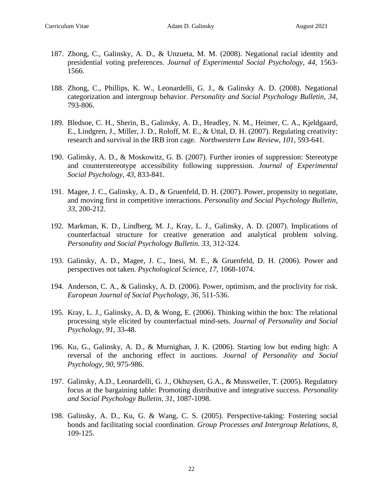- 187. Zhong, C., Galinsky, A. D., & Unzueta, M. M. (2008). Negational racial identity and presidential voting preferences. *Journal of Experimental Social Psychology, 44,* 1563- 1566.
- 188. Zhong, C., Phillips, K. W., Leonardelli, G. J., & Galinsky A. D. (2008). Negational categorization and intergroup behavior. *Personality and Social Psychology Bulletin, 34,* 793-806.
- 189. Bledsoe, C. H., Sherin, B., Galinsky, A. D., Headley, N. M., Heimer, C. A., Kjeldgaard, E., Lindgren, J., Miller, J. D., Roloff, M. E., & Uttal, D. H. (2007). Regulating creativity: research and survival in the IRB iron cage. *Northwestern Law Review*, *101*, 593-641.
- 190. Galinsky, A. D., & Moskowitz, G. B. (2007). Further ironies of suppression: Stereotype and counterstereotype accessibility following suppression. *Journal of Experimental Social Psychology, 43*, 833-841.
- 191. Magee, J. C., Galinsky, A. D., & Gruenfeld, D. H. (2007). Power, propensity to negotiate, and moving first in competitive interactions. *Personality and Social Psychology Bulletin, 33*, 200-212.
- 192. Markman, K. D., Lindberg, M. J., Kray, L. J., Galinsky, A. D. (2007). Implications of counterfactual structure for creative generation and analytical problem solving. *Personality and Social Psychology Bulletin. 33,* 312-324.
- 193. Galinsky, A. D., Magee, J. C., Inesi, M. E., & Gruenfeld, D. H. (2006). Power and perspectives not taken. *Psychological Science, 17,* 1068-1074.
- 194. Anderson, C. A., & Galinsky, A. D. (2006). Power, optimism, and the proclivity for risk. *European Journal of Social Psychology, 36,* 511-536.
- 195. Kray, L. J., Galinsky, A. D, & Wong, E. (2006). Thinking within the box: The relational processing style elicited by counterfactual mind-sets. *Journal of Personality and Social Psychology, 91,* 33-48.
- 196. Ku, G., Galinsky, A. D., & Murnighan, J. K. (2006). Starting low but ending high: A reversal of the anchoring effect in auctions. *Journal of Personality and Social Psychology, 90,* 975-986.
- 197. Galinsky, A.D., Leonardelli, G. J., Okhuysen, G.A., & Mussweiler, T. (2005). Regulatory focus at the bargaining table: Promoting distributive and integrative success. *Personality and Social Psychology Bulletin, 31,* 1087-1098.
- 198. Galinsky, A. D., Ku, G. & Wang, C. S. (2005). Perspective-taking: Fostering social bonds and facilitating social coordination. *Group Processes and Intergroup Relations, 8,*  109-125.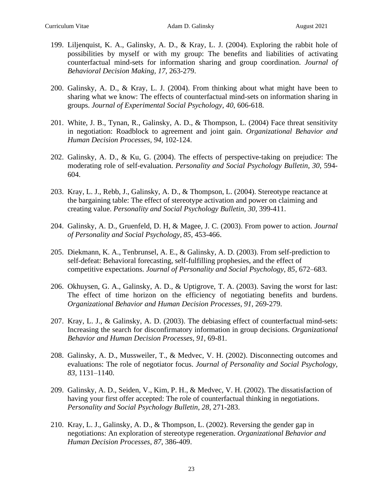- 199. Liljenquist, K. A., Galinsky, A. D., & Kray, L. J. (2004). Exploring the rabbit hole of possibilities by myself or with my group: The benefits and liabilities of activating counterfactual mind-sets for information sharing and group coordination. *Journal of Behavioral Decision Making, 17,* 263-279.
- 200. Galinsky, A. D., & Kray, L. J. (2004). From thinking about what might have been to sharing what we know: The effects of counterfactual mind-sets on information sharing in groups. *Journal of Experimental Social Psychology, 40*, 606-618.
- 201. White, J. B., Tynan, R., Galinsky, A. D., & Thompson, L. (2004) Face threat sensitivity in negotiation: Roadblock to agreement and joint gain. *Organizational Behavior and Human Decision Processes, 94,* 102-124.
- 202. Galinsky, A. D., & Ku, G. (2004). The effects of perspective-taking on prejudice: The moderating role of self-evaluation. *Personality and Social Psychology Bulletin, 30*, 594- 604.
- 203. Kray, L. J., Rebb, J., Galinsky, A. D., & Thompson, L. (2004). Stereotype reactance at the bargaining table: The effect of stereotype activation and power on claiming and creating value. *Personality and Social Psychology Bulletin, 30,* 399-411.
- 204. Galinsky, A. D., Gruenfeld, D. H, & Magee, J. C. (2003). From power to action. *Journal of Personality and Social Psychology, 85*, 453-466.
- 205. Diekmann, K. A., Tenbrunsel, A. E., & Galinsky, A. D. (2003). From self-prediction to self-defeat: Behavioral forecasting, self-fulfilling prophesies, and the effect of competitive expectations. *Journal of Personality and Social Psychology, 85*, 672–683.
- 206. Okhuysen, G. A., Galinsky, A. D., & Uptigrove, T. A. (2003). Saving the worst for last: The effect of time horizon on the efficiency of negotiating benefits and burdens. *Organizational Behavior and Human Decision Processes, 91,* 269-279.
- 207. Kray, L. J., & Galinsky, A. D. (2003). The debiasing effect of counterfactual mind-sets: Increasing the search for disconfirmatory information in group decisions. *Organizational Behavior and Human Decision Processes, 91,* 69-81.
- 208. Galinsky, A. D., Mussweiler, T., & Medvec, V. H. (2002). Disconnecting outcomes and evaluations: The role of negotiator focus. *Journal of Personality and Social Psychology, 83,* 1131–1140.
- 209. Galinsky, A. D., Seiden, V., Kim, P. H., & Medvec, V. H. (2002). The dissatisfaction of having your first offer accepted: The role of counterfactual thinking in negotiations. *Personality and Social Psychology Bulletin, 28*, 271-283.
- 210. Kray, L. J., Galinsky, A. D., & Thompson, L. (2002). Reversing the gender gap in negotiations: An exploration of stereotype regeneration. *Organizational Behavior and Human Decision Processes*, *87*, 386-409.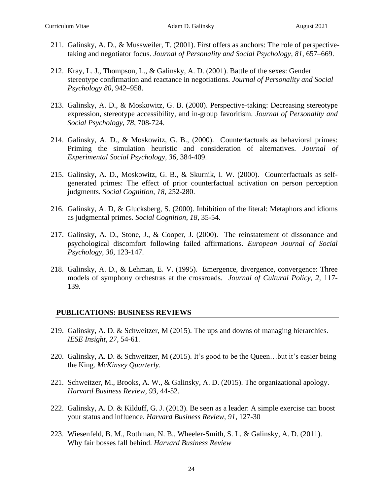- 211. Galinsky, A. D., & Mussweiler, T. (2001). First offers as anchors: The role of perspectivetaking and negotiator focus. *Journal of Personality and Social Psychology*, *81*, 657–669.
- 212. Kray, L. J., Thompson, L., & Galinsky, A. D. (2001). Battle of the sexes: Gender stereotype confirmation and reactance in negotiations. *Journal of Personality and Social Psychology 80,* 942–958.
- 213. Galinsky, A. D., & Moskowitz, G. B. (2000). Perspective-taking: Decreasing stereotype expression, stereotype accessibility, and in-group favoritism. *Journal of Personality and Social Psychology*, *78*, 708-724.
- 214. Galinsky, A. D., & Moskowitz, G. B., (2000). Counterfactuals as behavioral primes: Priming the simulation heuristic and consideration of alternatives. *Journal of Experimental Social Psychology*, *36*, 384-409.
- 215. Galinsky, A. D., Moskowitz, G. B., & Skurnik, I. W. (2000). Counterfactuals as selfgenerated primes: The effect of prior counterfactual activation on person perception judgments*. Social Cognition, 18,* 252-280.
- 216. Galinsky, A. D, & Glucksberg, S. (2000). Inhibition of the literal: Metaphors and idioms as judgmental primes. *Social Cognition, 18*, 35-54.
- 217. Galinsky, A. D., Stone, J., & Cooper, J. (2000). The reinstatement of dissonance and psychological discomfort following failed affirmations. *European Journal of Social Psychology*, *30*, 123-147.
- 218. Galinsky, A. D., & Lehman, E. V. (1995). Emergence, divergence, convergence: Three models of symphony orchestras at the crossroads. *Journal of Cultural Policy, 2,* 117- 139.

#### **PUBLICATIONS: BUSINESS REVIEWS**

- 219. Galinsky, A. D. & Schweitzer, M (2015). The ups and downs of managing hierarchies. *IESE Insight*, *27*, 54-61.
- 220. Galinsky, A. D. & Schweitzer, M (2015). It's good to be the Queen…but it's easier being the King. *McKinsey Quarterly*.
- 221. Schweitzer, M., Brooks, A. W., & Galinsky, A. D. (2015). The organizational apology. *Harvard Business Review, 93,* 44-52.
- 222. Galinsky, A. D. & Kilduff, G. J. (2013). Be seen as a leader: A simple exercise can boost your status and influence. *Harvard Business Review, 91*, 127-30
- 223. Wiesenfeld, B. M., Rothman, N. B., Wheeler-Smith, S. L. & Galinsky, A. D. (2011). Why fair bosses fall behind. *Harvard Business Review*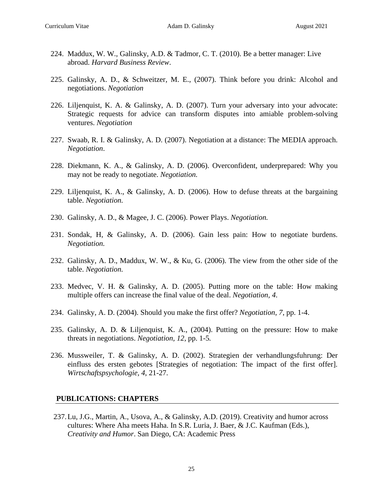- 224. Maddux, W. W., Galinsky, A.D. & Tadmor, C. T. (2010). Be a better manager: Live abroad. *Harvard Business Review*.
- 225. Galinsky, A. D., & Schweitzer, M. E., (2007). Think before you drink: Alcohol and negotiations. *Negotiation*
- 226. Liljenquist, K. A. & Galinsky, A. D. (2007). Turn your adversary into your advocate: Strategic requests for advice can transform disputes into amiable problem-solving ventures. *Negotiation*
- 227. Swaab, R. I. & Galinsky, A. D. (2007). Negotiation at a distance: The MEDIA approach. *Negotiation*.
- 228. Diekmann, K. A., & Galinsky, A. D. (2006). Overconfident, underprepared: Why you may not be ready to negotiate. *Negotiation.*
- 229. Liljenquist, K. A., & Galinsky, A. D. (2006). How to defuse threats at the bargaining table. *Negotiation.*
- 230. Galinsky, A. D., & Magee, J. C. (2006). Power Plays. *Negotiation.*
- 231. Sondak, H, & Galinsky, A. D. (2006). Gain less pain: How to negotiate burdens. *Negotiation.*
- 232. Galinsky, A. D., Maddux, W. W., & Ku, G. (2006). The view from the other side of the table. *Negotiation.*
- 233. Medvec, V. H. & Galinsky, A. D. (2005). Putting more on the table: How making multiple offers can increase the final value of the deal. *Negotiation, 4*.
- 234. Galinsky, A. D. (2004). Should you make the first offer? *Negotiation*, *7*, pp. 1-4.
- 235. Galinsky, A. D. & Liljenquist, K. A., (2004). Putting on the pressure: How to make threats in negotiations. *Negotiation, 12,* pp. 1-5*.*
- 236. Mussweiler, T. & Galinsky, A. D. (2002). Strategien der verhandlungsfuhrung: Der einfluss des ersten gebotes [Strategies of negotiation: The impact of the first offer]. *Wirtschaftspsychologie, 4*, 21-27.

# **PUBLICATIONS: CHAPTERS**

237.Lu, J.G., Martin, A., Usova, A., & Galinsky, A.D. (2019). Creativity and humor across cultures: Where Aha meets Haha. In S.R. Luria, J. Baer, & J.C. Kaufman (Eds.), *Creativity and Humor*. San Diego, CA: Academic Press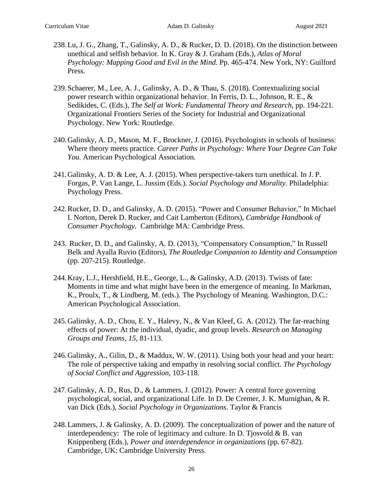- 238.Lu, J. G., Zhang, T., Galinsky, A. D., & Rucker, D. D. (2018). On the distinction between unethical and selfish behavior. In K. Gray & J. Graham (Eds.), *Atlas of Moral Psychology: Mapping Good and Evil in the Mind*. Pp. 465-474. New York, NY: Guilford Press*.*
- 239.Schaerer, M., Lee, A. J., Galinsky, A. D., & Thau, S. (2018). Contextualizing social power research within organizational behavior. In Ferris, D. L., Johnson, R. E., & Sedikides, C. (Eds.), *The Self at Work: Fundamental Theory and Research*, pp. 194-221. Organizational Frontiers Series of the Society for Industrial and Organizational Psychology. New York: Routledge.
- 240.Galinsky, A. D., Mason, M. F., Brockner, J. (2016). Psychologists in schools of business: Where theory meets practice. *Career Paths in Psychology: Where Your Degree Can Take You.* American Psychological Association*.*
- 241.Galinsky, A. D. & Lee, A. J. (2015). When perspective-takers turn unethical. In J. P. Forgas, P. Van Lange, L. Jussim (Eds.). *Social Psychology and Morality*. Philadelphia: Psychology Press.
- 242.Rucker, D. D., and Galinsky, A. D. (2015). "Power and Consumer Behavior," In Michael I. Norton, Derek D. Rucker, and Cait Lamberton (Editors), *Cambridge Handbook of Consumer Psychology.* Cambridge MA: Cambridge Press.
- 243. Rucker, D. D., and Galinsky, A. D. (2013), "Compensatory Consumption," In Russell Belk and Ayalla Ruvio (Editors), *The Routledge Companion to Identity and Consumption* (pp. 207-215). Routledge.
- 244.Kray, L.J., Hershfield, H.E., George, L., & Galinsky, A.D. (2013). Twists of fate: Moments in time and what might have been in the emergence of meaning. In Markman, K., Proulx, T., & Lindberg, M. (eds.). The Psychology of Meaning. Washington, D.C.: American Psychological Association.
- 245.Galinsky, A. D., Chou, E. Y., Halevy, N., & Van Kleef, G. A. (2012). The far-reaching effects of power: At the individual, dyadic, and group levels. *Research on Managing Groups and Teams*, *15*, 81-113.
- 246.Galinsky, A., Gilin, D., & Maddux, W. W. (2011). Using both your head and your heart: The role of perspective taking and empathy in resolving social conflict. *The Psychology of Social Conflict and Aggression*, 103-118.
- 247.Galinsky, A. D., Rus, D., & Lammers, J. (2012). Power: A central force governing psychological, social, and organizational Life. In D. De Cremer, J. K. Murnighan, & R. van Dick (Eds.), *Social Psychology in Organizations*. Taylor & Francis
- 248.Lammers, J. & Galinsky, A. D. (2009). The conceptualization of power and the nature of interdependency: The role of legitimacy and culture. In D. Tjosvold  $\&$  B. van Knippenberg (Eds.), *Power and interdependence in organizations* (pp. 67-82). Cambridge, UK: Cambridge University Press.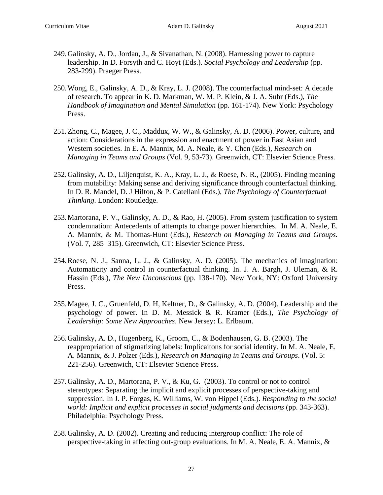- 249.Galinsky, A. D., Jordan, J., & Sivanathan, N. (2008). Harnessing power to capture leadership. In D. Forsyth and C. Hoyt (Eds.). *Social Psychology and Leadership* (pp. 283-299). Praeger Press.
- 250.Wong, E., Galinsky, A. D., & Kray, L. J. (2008). The counterfactual mind-set: A decade of research. To appear in K. D. Markman, W. M. P. Klein, & J. A. Suhr (Eds.), *The Handbook of Imagination and Mental Simulation* (pp. 161-174). New York: Psychology Press.
- 251.Zhong, C., Magee, J. C., Maddux, W. W., & Galinsky, A. D. (2006). Power, culture, and action: Considerations in the expression and enactment of power in East Asian and Western societies. In E. A. Mannix, M. A. Neale, & Y. Chen (Eds.), *Research on Managing in Teams and Groups* (Vol. 9, 53-73). Greenwich, CT: Elsevier Science Press*.*
- 252.Galinsky, A. D., Liljenquist, K. A., Kray, L. J., & Roese, N. R., (2005). Finding meaning from mutability: Making sense and deriving significance through counterfactual thinking. In D. R. Mandel, D. J Hilton, & P. Catellani (Eds.), *The Psychology of Counterfactual Thinking*. London: Routledge.
- 253.Martorana, P. V., Galinsky, A. D., & Rao, H. (2005). From system justification to system condemnation: Antecedents of attempts to change power hierarchies. In M. A. Neale, E. A. Mannix, & M. Thomas-Hunt (Eds.), *Research on Managing in Teams and Groups.* (Vol. 7, 285–315). Greenwich, CT: Elsevier Science Press.
- 254.Roese, N. J., Sanna, L. J., & Galinsky, A. D. (2005). The mechanics of imagination: Automaticity and control in counterfactual thinking. In. J. A. Bargh, J. Uleman, & R. Hassin (Eds.), *The New Unconscious* (pp. 138-170). New York, NY: Oxford University Press.
- 255.Magee, J. C., Gruenfeld, D. H, Keltner, D., & Galinsky, A. D. (2004). Leadership and the psychology of power. In D. M. Messick & R. Kramer (Eds.), *The Psychology of Leadership: Some New Approaches*. New Jersey: L. Erlbaum.
- 256.Galinsky, A. D., Hugenberg, K., Groom, C., & Bodenhausen, G. B. (2003). The reappropriation of stigmatizing labels: Implicaitons for social identity. In M. A. Neale, E. A. Mannix, & J. Polzer (Eds.), *Research on Managing in Teams and Groups*. (Vol. 5: 221-256). Greenwich, CT: Elsevier Science Press.
- 257.Galinsky, A. D., Martorana, P. V., & Ku, G. (2003). To control or not to control stereotypes: Separating the implicit and explicit processes of perspective-taking and suppression. In J. P. Forgas, K. Williams, W. von Hippel (Eds.). *Responding to the social world: Implicit and explicit processes in social judgments and decisions* (pp. 343-363). Philadelphia: Psychology Press.
- 258.Galinsky, A. D. (2002). Creating and reducing intergroup conflict: The role of perspective-taking in affecting out-group evaluations. In M. A. Neale, E. A. Mannix, &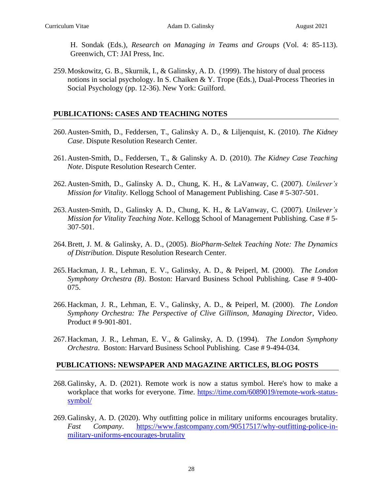H. Sondak (Eds.), *Research on Managing in Teams and Groups* (Vol. 4: 85-113). Greenwich, CT: JAI Press, Inc.

259.Moskowitz, G. B., Skurnik, I., & Galinsky, A. D. (1999). The history of dual process notions in social psychology. In S. Chaiken & Y. Trope (Eds.), Dual-Process Theories in Social Psychology (pp. 12-36). New York: Guilford.

## **PUBLICATIONS: CASES AND TEACHING NOTES**

- 260.Austen-Smith, D., Feddersen, T., Galinsky A. D., & Liljenquist, K. (2010). *The Kidney Case*. Dispute Resolution Research Center.
- 261.Austen-Smith, D., Feddersen, T., & Galinsky A. D. (2010). *The Kidney Case Teaching Note*. Dispute Resolution Research Center.
- 262.Austen-Smith, D., Galinsky A. D., Chung, K. H., & LaVanway, C. (2007). *Unilever's Mission for Vitality*. Kellogg School of Management Publishing. Case # 5-307-501.
- 263.Austen-Smith, D., Galinsky A. D., Chung, K. H., & LaVanway, C. (2007). *Unilever's Mission for Vitality Teaching Note*. Kellogg School of Management Publishing. Case # 5- 307-501.
- 264.Brett, J. M. & Galinsky, A. D., (2005). *BioPharm-Seltek Teaching Note: The Dynamics of Distribution*. Dispute Resolution Research Center.
- 265.Hackman, J. R., Lehman, E. V., Galinsky, A. D., & Peiperl, M. (2000). *The London Symphony Orchestra (B)*. Boston: Harvard Business School Publishing. Case # 9-400- 075.
- 266.Hackman, J. R., Lehman, E. V., Galinsky, A. D., & Peiperl, M. (2000). *The London Symphony Orchestra: The Perspective of Clive Gillinson, Managing Director*, Video. Product # 9-901-801.
- 267.Hackman, J. R., Lehman, E. V., & Galinsky, A. D. (1994). *The London Symphony Orchestra*. Boston: Harvard Business School Publishing. Case # 9-494-034.

#### **PUBLICATIONS: NEWSPAPER AND MAGAZINE ARTICLES, BLOG POSTS**

- 268.Galinsky, A. D. (2021). Remote work is now a status symbol. Here's how to make a workplace that works for everyone. *Time*. [https://time.com/6089019/remote-work-status](https://time.com/6089019/remote-work-status-symbol/)[symbol/](https://time.com/6089019/remote-work-status-symbol/)
- 269.Galinsky, A. D. (2020). Why outfitting police in military uniforms encourages brutality. *Fast Company*. [https://www.fastcompany.com/90517517/why-outfitting-police-in](https://www.fastcompany.com/90517517/why-outfitting-police-in-military-uniforms-encourages-brutality)[military-uniforms-encourages-brutality](https://www.fastcompany.com/90517517/why-outfitting-police-in-military-uniforms-encourages-brutality)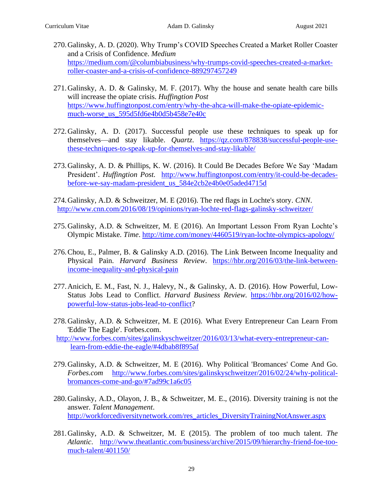- 270.Galinsky, A. D. (2020). Why Trump's COVID Speeches Created a Market Roller Coaster and a Crisis of Confidence. *Medium* [https://medium.com/@columbiabusiness/why-trumps-covid-speeches-created-a-market](https://medium.com/@columbiabusiness/why-trumps-covid-speeches-created-a-market-roller-coaster-and-a-crisis-of-confidence-889297457249)[roller-coaster-and-a-crisis-of-confidence-889297457249](https://medium.com/@columbiabusiness/why-trumps-covid-speeches-created-a-market-roller-coaster-and-a-crisis-of-confidence-889297457249)
- 271.Galinsky, A. D. & Galinsky, M. F. (2017). Why the house and senate health care bills will increase the opiate crisis. *Huffingtion Post* [https://www.huffingtonpost.com/entry/why-the-ahca-will-make-the-opiate-epidemic](https://www.huffingtonpost.com/entry/why-the-ahca-will-make-the-opiate-epidemic-much-worse_us_595d5fd6e4b0d5b458e7e40c)[much-worse\\_us\\_595d5fd6e4b0d5b458e7e40c](https://www.huffingtonpost.com/entry/why-the-ahca-will-make-the-opiate-epidemic-much-worse_us_595d5fd6e4b0d5b458e7e40c)
- 272.Galinsky, A. D. (2017). Successful people use these techniques to speak up for themselves—and stay likable. *Quartz*. [https://qz.com/878838/successful-people-use](https://qz.com/878838/successful-people-use-these-techniques-to-speak-up-for-themselves-and-stay-likable/)[these-techniques-to-speak-up-for-themselves-and-stay-likable/](https://qz.com/878838/successful-people-use-these-techniques-to-speak-up-for-themselves-and-stay-likable/)
- 273.Galinsky, A. D. & Phillips, K. W. (2016). It Could Be Decades Before We Say 'Madam President'. *Huffingtion Post.* [http://www.huffingtonpost.com/entry/it-could-be-decades](http://www.huffingtonpost.com/entry/it-could-be-decades-before-we-say-madam-president_us_584e2cb2e4b0e05aded4715d)[before-we-say-madam-president\\_us\\_584e2cb2e4b0e05aded4715d](http://www.huffingtonpost.com/entry/it-could-be-decades-before-we-say-madam-president_us_584e2cb2e4b0e05aded4715d)
- 274.Galinsky, A.D. & Schweitzer, M. E (2016). The red flags in Lochte's story. *CNN*. <http://www.cnn.com/2016/08/19/opinions/ryan-lochte-red-flags-galinsky-schweitzer/>
- 275.Galinsky, A.D. & Schweitzer, M. E (2016). An Important Lesson From Ryan Lochte's Olympic Mistake. *Time*.<http://time.com/money/4460519/ryan-lochte-olympics-apology/>
- 276.Chou, E., Palmer, B. & Galinsky A.D. (2016). The Link Between Income Inequality and Physical Pain. *Harvard Business Review*. [https://hbr.org/2016/03/the-link-between](https://hbr.org/2016/03/the-link-between-income-inequality-and-physical-pain)[income-inequality-and-physical-pain](https://hbr.org/2016/03/the-link-between-income-inequality-and-physical-pain)
- 277.Anicich, E. M., Fast, N. J., Halevy, N., & Galinsky, A. D. (2016). How Powerful, Low-Status Jobs Lead to Conflict. *Harvard Business Review.* [https://hbr.org/2016/02/how](https://hbr.org/2016/02/how-powerful-low-status-jobs-lead-to-conflict)[powerful-low-status-jobs-lead-to-conflict?](https://hbr.org/2016/02/how-powerful-low-status-jobs-lead-to-conflict)
- 278.Galinsky, A.D. & Schweitzer, M. E (2016). What Every Entrepreneur Can Learn From 'Eddie The Eagle'. Forbes.com.
- [http://www.forbes.com/sites/galinskyschweitzer/2016/03/13/what-every-entrepreneur-can](http://www.forbes.com/sites/galinskyschweitzer/2016/03/13/what-every-entrepreneur-can-learn-from-eddie-the-eagle/#4dbab8f895af)[learn-from-eddie-the-eagle/#4dbab8f895af](http://www.forbes.com/sites/galinskyschweitzer/2016/03/13/what-every-entrepreneur-can-learn-from-eddie-the-eagle/#4dbab8f895af)
- 279.Galinsky, A.D. & Schweitzer, M. E (2016). Why Political 'Bromances' Come And Go. *Forbes.com* [http://www.forbes.com/sites/galinskyschweitzer/2016/02/24/why-political](http://www.forbes.com/sites/galinskyschweitzer/2016/02/24/why-political-bromances-come-and-go/#7ad99c1a6c05)[bromances-come-and-go/#7ad99c1a6c05](http://www.forbes.com/sites/galinskyschweitzer/2016/02/24/why-political-bromances-come-and-go/#7ad99c1a6c05)
- 280.Galinsky, A.D., Olayon, J. B., & Schweitzer, M. E., (2016). Diversity training is not the answer. *Talent Management*. [http://workforcediversitynetwork.com/res\\_articles\\_DiversityTrainingNotAnswer.aspx](http://workforcediversitynetwork.com/res_articles_DiversityTrainingNotAnswer.aspx)
- 281.Galinsky, A.D. & Schweitzer, M. E (2015). The problem of too much talent. *The Atlantic*. [http://www.theatlantic.com/business/archive/2015/09/hierarchy-friend-foe-too](http://www.theatlantic.com/business/archive/2015/09/hierarchy-friend-foe-too-much-talent/401150/)[much-talent/401150/](http://www.theatlantic.com/business/archive/2015/09/hierarchy-friend-foe-too-much-talent/401150/)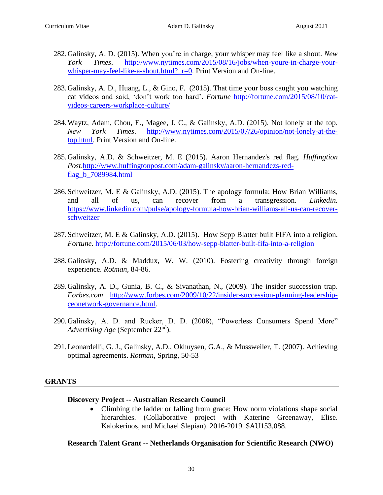- 282.Galinsky, A. D. (2015). When you're in charge, your whisper may feel like a shout. *New York Times*. [http://www.nytimes.com/2015/08/16/jobs/when-youre-in-charge-your](http://www.nytimes.com/2015/08/16/jobs/when-youre-in-charge-your-whisper-may-feel-like-a-shout.html?_r=0)whisper-may-feel-like-a-shout.html? r=0. Print Version and On-line.
- 283.Galinsky, A. D., Huang, L., & Gino, F. (2015). That time your boss caught you watching cat videos and said, 'don't work too hard'. *Fortune* [http://fortune.com/2015/08/10/cat](http://fortune.com/2015/08/10/cat-videos-careers-workplace-culture/)[videos-careers-workplace-culture/](http://fortune.com/2015/08/10/cat-videos-careers-workplace-culture/)
- 284.Waytz, Adam, Chou, E., Magee, J. C., & Galinsky, A.D. (2015). Not lonely at the top. *New York Times*. [http://www.nytimes.com/2015/07/26/opinion/not-lonely-at-the](http://www.nytimes.com/2015/07/26/opinion/not-lonely-at-the-top.html)[top.html.](http://www.nytimes.com/2015/07/26/opinion/not-lonely-at-the-top.html) Print Version and On-line.
- 285.Galinsky, A.D. & Schweitzer, M. E (2015). Aaron Hernandez's red flag. *Huffingtion Post*[.http://www.huffingtonpost.com/adam-galinsky/aaron-hernandezs-red](http://www.huffingtonpost.com/adam-galinsky/aaron-hernandezs-red-flag_b_7089984.html)[flag\\_b\\_7089984.html](http://www.huffingtonpost.com/adam-galinsky/aaron-hernandezs-red-flag_b_7089984.html)
- 286.Schweitzer, M. E & Galinsky, A.D. (2015). The apology formula: How Brian Williams, and all of us, can recover from a transgression. *Linkedin.* [https://www.linkedin.com/pulse/apology-formula-how-brian-williams-all-us-can-recover](https://www.linkedin.com/pulse/apology-formula-how-brian-williams-all-us-can-recover-schweitzer)[schweitzer](https://www.linkedin.com/pulse/apology-formula-how-brian-williams-all-us-can-recover-schweitzer)
- 287.Schweitzer, M. E & Galinsky, A.D. (2015). How Sepp Blatter built FIFA into a religion. *Fortune.* <http://fortune.com/2015/06/03/how-sepp-blatter-built-fifa-into-a-religion>
- 288.Galinsky, A.D. & Maddux, W. W. (2010). Fostering creativity through foreign experience. *Rotman,* 84-86.
- 289.Galinsky, A. D., Gunia, B. C., & Sivanathan, N., (2009). The insider succession trap. *Forbes.com*. [http://www.forbes.com/2009/10/22/insider-succession-planning-leadership](http://www.forbes.com/2009/10/22/insider-succession-planning-leadership-ceonetwork-governance.html)[ceonetwork-governance.html.](http://www.forbes.com/2009/10/22/insider-succession-planning-leadership-ceonetwork-governance.html)
- 290.Galinsky, A. D. and Rucker, D. D. (2008), "Powerless Consumers Spend More" *Advertising Age* (September 22nd).
- 291.Leonardelli, G. J., Galinsky, A.D., Okhuysen, G.A., & Mussweiler, T. (2007). Achieving optimal agreements. *Rotman*, Spring, 50-53

# **GRANTS**

#### **Discovery Project -- Australian Research Council**

• Climbing the ladder or falling from grace: How norm violations shape social hierarchies. (Collaborative project with Katerine Greenaway, Elise. Kalokerinos, and Michael Slepian). 2016-2019. \$AU153,088.

**Research Talent Grant -- Netherlands Organisation for Scientific Research (NWO)**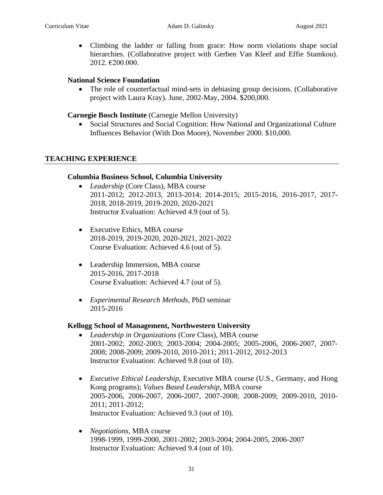• Climbing the ladder or falling from grace: How norm violations shape social hierarchies. (Collaborative project with Gerben Van Kleef and Effie Stamkou). 2012. €200.000.

#### **National Science Foundation**

• The role of counterfactual mind-sets in debiasing group decisions. (Collaborative project with Laura Kray). June, 2002-May, 2004. \$200,000.

#### **Carnegie Bosch Institute** (Carnegie Mellon University)

• Social Structures and Social Cognition: How National and Organizational Culture Influences Behavior (With Don Moore), November 2000. \$10,000.

#### **TEACHING EXPERIENCE**

#### **Columbia Business School, Columbia University**

- *Leadership* (Core Class), MBA course 2011-2012; 2012-2013, 2013-2014; 2014-2015; 2015-2016, 2016-2017, 2017- 2018, 2018-2019, 2019-2020, 2020-2021 Instructor Evaluation: Achieved 4.9 (out of 5).
- Executive Ethics, MBA course 2018-2019, 2019-2020, 2020-2021, 2021-2022 Course Evaluation: Achieved 4.6 (out of 5).
- Leadership Immersion, MBA course 2015-2016, 2017-2018 Course Evaluation: Achieved 4.7 (out of 5).
- *Experimental Research Methods*, PhD seminar 2015-2016

#### **Kellogg School of Management, Northwestern University**

- *Leadership in Organizations* (Core Class), MBA course 2001-2002; 2002-2003; 2003-2004; 2004-2005; 2005-2006, 2006-2007, 2007- 2008; 2008-2009; 2009-2010, 2010-2011; 2011-2012, 2012-2013 Instructor Evaluation: Achieved 9.8 (out of 10).
- *Executive Ethical Leadership*, Executive MBA course (U.S., Germany, and Hong Kong programs); *Values Based Leadership,* MBA course 2005-2006, 2006-2007, 2006-2007, 2007-2008; 2008-2009; 2009-2010, 2010- 2011; 2011-2012; Instructor Evaluation: Achieved 9.3 (out of 10).
- *Negotiations*, MBA course 1998-1999, 1999-2000, 2001-2002; 2003-2004; 2004-2005, 2006-2007 Instructor Evaluation: Achieved 9.4 (out of 10).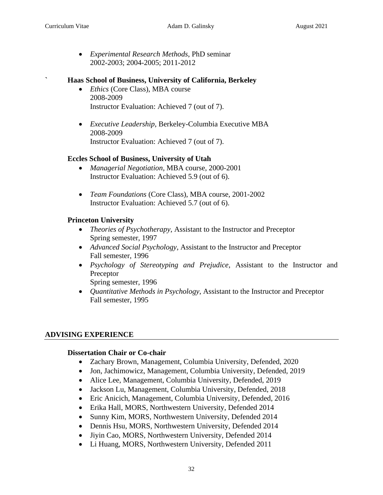• *Experimental Research Methods*, PhD seminar 2002-2003; 2004-2005; 2011-2012

# **` Haas School of Business, University of California, Berkeley**

- *Ethics* (Core Class), MBA course 2008-2009 Instructor Evaluation: Achieved 7 (out of 7).
- *Executive Leadership*, Berkeley-Columbia Executive MBA 2008-2009 Instructor Evaluation: Achieved 7 (out of 7).

#### **Eccles School of Business, University of Utah**

- *Managerial Negotiation*, MBA course, 2000-2001 Instructor Evaluation: Achieved 5.9 (out of 6).
- *Team Foundations* (Core Class), MBA course, 2001-2002 Instructor Evaluation: Achieved 5.7 (out of 6).

# **Princeton University**

- *Theories of Psychotherapy*, Assistant to the Instructor and Preceptor Spring semester, 1997
- *Advanced Social Psychology*, Assistant to the Instructor and Preceptor Fall semester, 1996
- *Psychology of Stereotyping and Prejudice*, Assistant to the Instructor and Preceptor

Spring semester, 1996

• *Quantitative Methods in Psychology*, Assistant to the Instructor and Preceptor Fall semester, 1995

# **ADVISING EXPERIENCE**

# **Dissertation Chair or Co-chair**

- Zachary Brown, Management, Columbia University, Defended, 2020
- Jon, Jachimowicz, Management, Columbia University, Defended, 2019
- Alice Lee, Management, Columbia University, Defended, 2019
- Jackson Lu, Management, Columbia University, Defended, 2018
- Eric Anicich, Management, Columbia University, Defended, 2016
- Erika Hall, MORS, Northwestern University, Defended 2014
- Sunny Kim, MORS, Northwestern University, Defended 2014
- Dennis Hsu, MORS, Northwestern University, Defended 2014
- Jiyin Cao, MORS, Northwestern University, Defended 2014
- Li Huang, MORS, Northwestern University, Defended 2011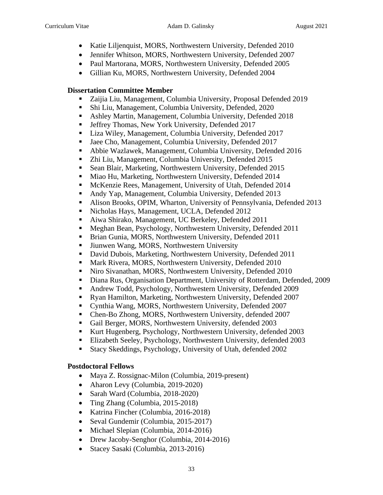- Katie Liljenquist, MORS, Northwestern University, Defended 2010
- Jennifer Whitson, MORS, Northwestern University, Defended 2007
- Paul Martorana, MORS, Northwestern University, Defended 2005
- Gillian Ku, MORS, Northwestern University, Defended 2004

# **Dissertation Committee Member**

- Zaijia Liu, Management, Columbia University, Proposal Defended 2019
- Shi Liu, Management, Columbia University, Defended, 2020
- Ashley Martin, Management, Columbia University, Defended 2018
- **•** Jeffrey Thomas, New York University, Defended 2017
- Liza Wiley, Management, Columbia University, Defended 2017
- Jaee Cho, Management, Columbia University, Defended 2017
- Abbie Wazlawek, Management, Columbia University, Defended 2016
- Zhi Liu, Management, Columbia University, Defended 2015
- Sean Blair, Marketing, Northwestern University, Defended 2015
- Miao Hu, Marketing, Northwestern University, Defended 2014
- McKenzie Rees, Management, University of Utah, Defended 2014
- Andy Yap, Management, Columbia University, Defended 2013
- Alison Brooks, OPIM, Wharton, University of Pennsylvania, Defended 2013
- Nicholas Hays, Management, UCLA, Defended 2012
- Aiwa Shirako, Management, UC Berkeley, Defended 2011
- Meghan Bean, Psychology, Northwestern University, Defended 2011
- **Example 3** Brian Gunia, MORS, Northwestern University, Defended 2011
- **E** Jiunwen Wang, MORS, Northwestern University
- David Dubois, Marketing, Northwestern University, Defended 2011
- Mark Rivera, MORS, Northwestern University, Defended 2010
- Niro Sivanathan, MORS, Northwestern University, Defended 2010
- Diana Rus, Organisation Department, University of Rotterdam, Defended, 2009
- Andrew Todd, Psychology, Northwestern University, Defended 2009
- Ryan Hamilton, Marketing, Northwestern University, Defended 2007
- Cynthia Wang, MORS, Northwestern University, Defended 2007
- Chen-Bo Zhong, MORS, Northwestern University, defended 2007
- Gail Berger, MORS, Northwestern University, defended 2003
- Kurt Hugenberg, Psychology, Northwestern University, defended 2003
- Elizabeth Seeley, Psychology, Northwestern University, defended 2003
- Stacy Skeddings, Psychology, University of Utah, defended 2002

# **Postdoctoral Fellows**

- Maya Z. Rossignac-Milon (Columbia, 2019-present)
- Aharon Levy (Columbia, 2019-2020)
- Sarah Ward (Columbia, 2018-2020)
- Ting Zhang (Columbia, 2015-2018)
- Katrina Fincher (Columbia, 2016-2018)
- Seval Gundemir (Columbia, 2015-2017)
- Michael Slepian (Columbia, 2014-2016)
- Drew Jacoby-Senghor (Columbia, 2014-2016)
- Stacey Sasaki (Columbia, 2013-2016)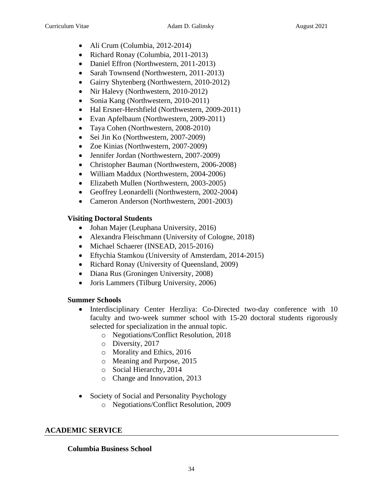- Ali Crum (Columbia, 2012-2014)
- Richard Ronay (Columbia, 2011-2013)
- Daniel Effron (Northwestern, 2011-2013)
- Sarah Townsend (Northwestern, 2011-2013)
- Gairry Shytenberg (Northwestern, 2010-2012)
- Nir Halevy (Northwestern, 2010-2012)
- Sonia Kang (Northwestern, 2010-2011)
- Hal Ersner-Hershfield (Northwestern, 2009-2011)
- Evan Apfelbaum (Northwestern, 2009-2011)
- Taya Cohen (Northwestern, 2008-2010)
- Sei Jin Ko (Northwestern, 2007-2009)
- Zoe Kinias (Northwestern, 2007-2009)
- Jennifer Jordan (Northwestern, 2007-2009)
- Christopher Bauman (Northwestern, 2006-2008)
- William Maddux (Northwestern, 2004-2006)
- Elizabeth Mullen (Northwestern, 2003-2005)
- Geoffrey Leonardelli (Northwestern, 2002-2004)
- Cameron Anderson (Northwestern, 2001-2003)

# **Visiting Doctoral Students**

- Johan Majer (Leuphana University, 2016)
- Alexandra Fleischmann (University of Cologne, 2018)
- Michael Schaerer (INSEAD, 2015-2016)
- Eftychia Stamkou (University of Amsterdam, 2014-2015)
- Richard Ronay (University of Queensland, 2009)
- Diana Rus (Groningen University, 2008)
- Joris Lammers (Tilburg University, 2006)

# **Summer Schools**

- Interdisciplinary Center Herzliya: Co-Directed two-day conference with 10 faculty and two-week summer school with 15-20 doctoral students rigorously selected for specialization in the annual topic.
	- o Negotiations/Conflict Resolution, 2018
	- o Diversity, 2017
	- o Morality and Ethics, 2016
	- o Meaning and Purpose, 2015
	- o Social Hierarchy, 2014
	- o Change and Innovation, 2013
- Society of Social and Personality Psychology
	- o Negotiations/Conflict Resolution, 2009

# **ACADEMIC SERVICE**

# **Columbia Business School**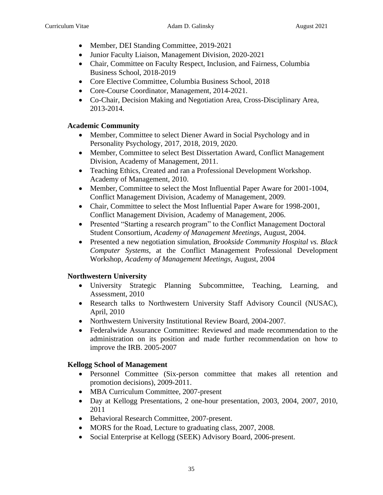- Member, DEI Standing Committee, 2019-2021
- Junior Faculty Liaison, Management Division, 2020-2021
- Chair, Committee on Faculty Respect, Inclusion, and Fairness, Columbia Business School, 2018-2019
- Core Elective Committee, Columbia Business School, 2018
- Core-Course Coordinator, Management, 2014-2021.
- Co-Chair, Decision Making and Negotiation Area, Cross-Disciplinary Area, 2013-2014.

# **Academic Community**

- Member, Committee to select Diener Award in Social Psychology and in Personality Psychology, 2017, 2018, 2019, 2020.
- Member, Committee to select Best Dissertation Award, Conflict Management Division, Academy of Management, 2011.
- Teaching Ethics, Created and ran a Professional Development Workshop. Academy of Management, 2010.
- Member, Committee to select the Most Influential Paper Aware for 2001-1004, Conflict Management Division, Academy of Management, 2009.
- Chair, Committee to select the Most Influential Paper Aware for 1998-2001, Conflict Management Division, Academy of Management, 2006.
- Presented "Starting a research program" to the Conflict Management Doctoral Student Consortium, *Academy of Management Meetings,* August, 2004.
- Presented a new negotiation simulation, *Brookside Community Hospital vs. Black Computer Systems*, at the Conflict Management Professional Development Workshop, *Academy of Management Meetings,* August, 2004

# **Northwestern University**

- University Strategic Planning Subcommittee, Teaching, Learning, and Assessment, 2010
- Research talks to Northwestern University Staff Advisory Council (NUSAC), April, 2010
- Northwestern University Institutional Review Board, 2004-2007.
- Federalwide Assurance Committee: Reviewed and made recommendation to the administration on its position and made further recommendation on how to improve the IRB. 2005-2007

# **Kellogg School of Management**

- Personnel Committee (Six-person committee that makes all retention and promotion decisions), 2009-2011.
- MBA Curriculum Committee, 2007-present
- Day at Kellogg Presentations, 2 one-hour presentation, 2003, 2004, 2007, 2010, 2011
- Behavioral Research Committee, 2007-present.
- MORS for the Road, Lecture to graduating class, 2007, 2008.
- Social Enterprise at Kellogg (SEEK) Advisory Board, 2006-present.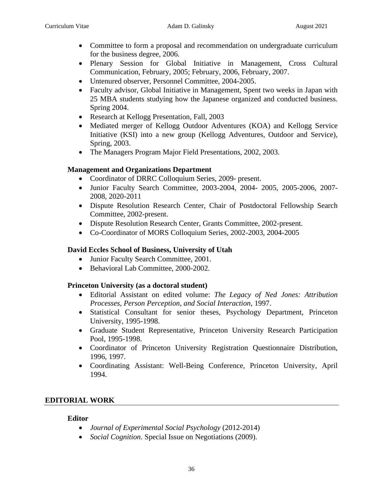- Committee to form a proposal and recommendation on undergraduate curriculum for the business degree, 2006.
- Plenary Session for Global Initiative in Management, Cross Cultural Communication, February, 2005; February, 2006, February, 2007.
- Untenured observer, Personnel Committee, 2004-2005.
- Faculty advisor, Global Initiative in Management, Spent two weeks in Japan with 25 MBA students studying how the Japanese organized and conducted business. Spring 2004.
- Research at Kellogg Presentation*,* Fall, 2003
- Mediated merger of Kellogg Outdoor Adventures (KOA) and Kellogg Service Initiative (KSI) into a new group (Kellogg Adventures, Outdoor and Service), Spring, 2003.
- The Managers Program Major Field Presentations, 2002, 2003.

# **Management and Organizations Department**

- Coordinator of DRRC Colloquium Series, 2009- present.
- Junior Faculty Search Committee, 2003-2004, 2004- 2005, 2005-2006, 2007- 2008, 2020-2011
- Dispute Resolution Research Center, Chair of Postdoctoral Fellowship Search Committee, 2002-present.
- Dispute Resolution Research Center, Grants Committee, 2002-present.
- Co-Coordinator of MORS Colloquium Series, 2002-2003, 2004-2005

# **David Eccles School of Business, University of Utah**

- Junior Faculty Search Committee, 2001.
- Behavioral Lab Committee, 2000-2002.

# **Princeton University (as a doctoral student)**

- Editorial Assistant on edited volume: *The Legacy of Ned Jones: Attribution Processes, Person Perception, and Social Interaction*, 1997.
- Statistical Consultant for senior theses, Psychology Department, Princeton University, 1995-1998.
- Graduate Student Representative, Princeton University Research Participation Pool, 1995-1998.
- Coordinator of Princeton University Registration Questionnaire Distribution, 1996, 1997.
- Coordinating Assistant: Well-Being Conference, Princeton University, April 1994.

# **EDITORIAL WORK**

# **Editor**

- *Journal of Experimental Social Psychology* (2012-2014)
- *Social Cognition*. Special Issue on Negotiations (2009).